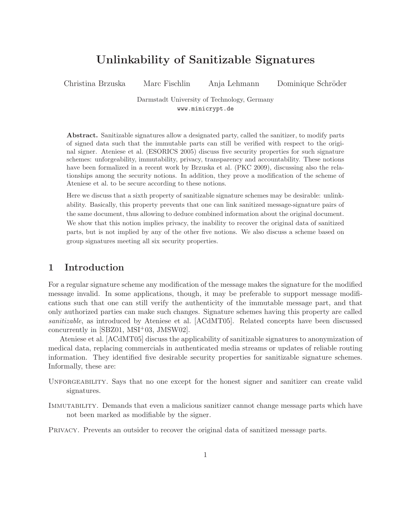# **Unlinkability of Sanitizable Signatures**

Christina Brzuska Marc Fischlin Anja Lehmann Dominique Schröder

Darmstadt University of Technology, Germany www.minicrypt.de

**Abstract.** Sanitizable signatures allow a designated party, called the sanitizer, to modify parts of signed data such that the immutable parts can still be verified with respect to the original signer. Ateniese et al. (ESORICS 2005) discuss five security properties for such signature schemes: unforgeability, immutability, privacy, transparency and accountability. These notions have been formalized in a recent work by Brzuska et al. (PKC 2009), discussing also the relationships among the security notions. In addition, they prove a modification of the scheme of Ateniese et al. to be secure according to these notions.

Here we discuss that a sixth property of sanitizable signature schemes may be desirable: unlinkability. Basically, this property prevents that one can link sanitized message-signature pairs of the same document, thus allowing to deduce combined information about the original document. We show that this notion implies privacy, the inability to recover the original data of sanitized parts, but is not implied by any of the other five notions. We also discuss a scheme based on group signatures meeting all six security properties.

### **1 Introduction**

For a regular signature scheme any modification of the message makes the signature for the modified message invalid. In some applications, though, it may be preferable to support message modifications such that one can still verify the authenticity of the immutable message part, and that only authorized parties can make such changes. Signature schemes having this property are called *sanitizable*, as introduced by Ateniese et al. [ACdMT05]. Related concepts have been discussed concurrently in [SBZ01, MSI+03, JMSW02].

Ateniese et al. [ACdMT05] discuss the applicability of sanitizable signatures to anonymization of medical data, replacing commercials in authenticated media streams or updates of reliable routing information. They identified five desirable security properties for sanitizable signature schemes. Informally, these are:

- UNFORGEABILITY. Says that no one except for the honest signer and sanitizer can create valid signatures.
- Immutability. Demands that even a malicious sanitizer cannot change message parts which have not been marked as modifiable by the signer.

Privacy. Prevents an outsider to recover the original data of sanitized message parts.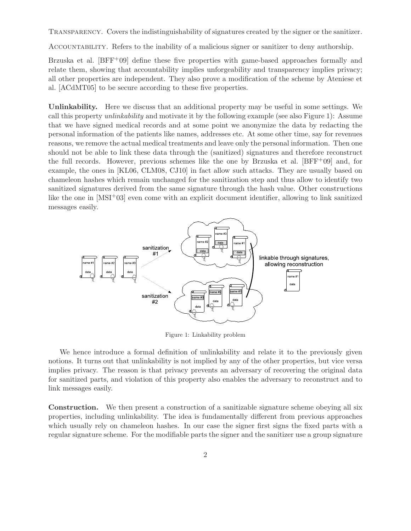Transparency. Covers the indistinguishability of signatures created by the signer or the sanitizer.

Accountability. Refers to the inability of a malicious signer or sanitizer to deny authorship.

Brzuska et al. [BFF+09] define these five properties with game-based approaches formally and relate them, showing that accountability implies unforgeability and transparency implies privacy; all other properties are independent. They also prove a modification of the scheme by Ateniese et al. [ACdMT05] to be secure according to these five properties.

**Unlinkability.** Here we discuss that an additional property may be useful in some settings. We call this property *unlinkability* and motivate it by the following example (see also Figure 1): Assume that we have signed medical records and at some point we anonymize the data by redacting the personal information of the patients like names, addresses etc. At some other time, say for revenues reasons, we remove the actual medical treatments and leave only the personal information. Then one should not be able to link these data through the (sanitized) signatures and therefore reconstruct the full records. However, previous schemes like the one by Brzuska et al.  $[BFF^+09]$  and, for example, the ones in [KL06, CLM08, CJ10] in fact allow such attacks. They are usually based on chameleon hashes which remain unchanged for the sanitization step and thus allow to identify two sanitized signatures derived from the same signature through the hash value. Other constructions like the one in  $[MST^+03]$  even come with an explicit document identifier, allowing to link sanitized messages easily.



Figure 1: Linkability problem

We hence introduce a formal definition of unlinkability and relate it to the previously given notions. It turns out that unlinkability is not implied by any of the other properties, but vice versa implies privacy. The reason is that privacy prevents an adversary of recovering the original data for sanitized parts, and violation of this property also enables the adversary to reconstruct and to link messages easily.

**Construction.** We then present a construction of a sanitizable signature scheme obeying all six properties, including unlinkability. The idea is fundamentally different from previous approaches which usually rely on chameleon hashes. In our case the signer first signs the fixed parts with a regular signature scheme. For the modifiable parts the signer and the sanitizer use a group signature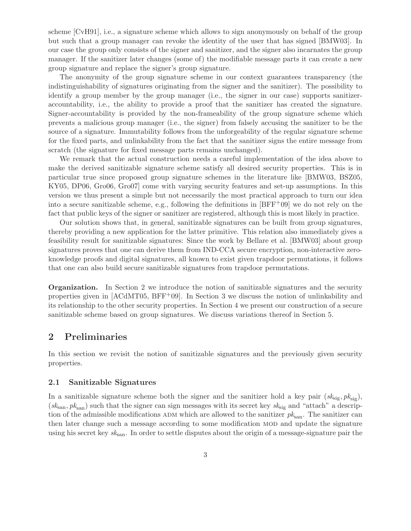scheme [CvH91], i.e., a signature scheme which allows to sign anonymously on behalf of the group but such that a group manager can revoke the identity of the user that has signed [BMW03]. In our case the group only consists of the signer and sanitizer, and the signer also incarnates the group manager. If the sanitizer later changes (some of) the modifiable message parts it can create a new group signature and replace the signer's group signature.

The anonymity of the group signature scheme in our context guarantees transparency (the indistinguishability of signatures originating from the signer and the sanitizer). The possibility to identify a group member by the group manager (i.e., the signer in our case) supports sanitizeraccountability, i.e., the ability to provide a proof that the sanitizer has created the signature. Signer-accountability is provided by the non-frameability of the group signature scheme which prevents a malicious group manager (i.e., the signer) from falsely accusing the sanitizer to be the source of a signature. Immutability follows from the unforgeability of the regular signature scheme for the fixed parts, and unlinkability from the fact that the sanitizer signs the entire message from scratch (the signature for fixed message parts remains unchanged).

We remark that the actual construction needs a careful implementation of the idea above to make the derived sanitizable signature scheme satisfy all desired security properties. This is in particular true since proposed group signature schemes in the literature like [BMW03, BSZ05, KY05, DP06, Gro06, Gro07] come with varying security features and set-up assumptions. In this version we thus present a simple but not necessarily the most practical approach to turn our idea into a secure sanitizable scheme, e.g., following the definitions in  $[BFF^+09]$  we do not rely on the fact that public keys of the signer or sanitizer are registered, although this is most likely in practice.

Our solution shows that, in general, sanitizable signatures can be built from group signatures, thereby providing a new application for the latter primitive. This relation also immediately gives a feasibility result for sanitizable signatures: Since the work by Bellare et al. [BMW03] about group signatures proves that one can derive them from IND-CCA secure encryption, non-interactive zeroknowledge proofs and digital signatures, all known to exist given trapdoor permutations, it follows that one can also build secure sanitizable signatures from trapdoor permutations.

**Organization.** In Section 2 we introduce the notion of sanitizable signatures and the security properties given in  $[ACdMT05, BFF+09]$ . In Section 3 we discuss the notion of unlinkability and its relationship to the other security properties. In Section 4 we present our construction of a secure sanitizable scheme based on group signatures. We discuss variations thereof in Section 5.

### **2 Preliminaries**

In this section we revisit the notion of sanitizable signatures and the previously given security properties.

#### **2.1 Sanitizable Signatures**

In a sanitizable signature scheme both the signer and the sanitizer hold a key pair  $(s_{\text{sig}}^i, p_{\text{sig}}^i)$ ,  $(s_{\text{stan}}, \textit{pk}_{\text{san}})$  such that the signer can sign messages with its secret key  $s_{\text{sig}}$  and "attach" a description of the admissible modifications ADM which are allowed to the sanitizer  $pk_{\text{san}}$ . The sanitizer can<br>then later change such a message according to some modification MOD and undate the signature then later change such a message according to some modification mod and update the signature using his secret key *sk*san. In order to settle disputes about the origin of a message-signature pair the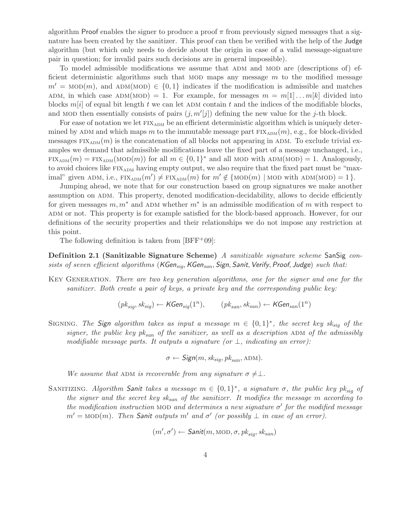algorithm Proof enables the signer to produce a proof  $\pi$  from previously signed messages that a signature has been created by the sanitizer. This proof can then be verified with the help of the Judge algorithm (but which only needs to decide about the origin in case of a valid message-signature pair in question; for invalid pairs such decisions are in general impossible).

To model admissible modifications we assume that ADM and MOD are (descriptions of) efficient deterministic algorithms such that MOD maps any message  $m$  to the modified message  $m' = \text{MOD}(m)$ , and  $\text{ADM}(\text{MOD}) \in \{0,1\}$  indicates if the modification is admissible and matches ADM, in which case ADM(MOD) = 1. For example, for messages  $m = m[1] \dots m[k]$  divided into blocks  $m[i]$  of equal bit length t we can let ADM contain t and the indices of the modifiable blocks, and MOD then essentially consists of pairs  $(j, m'[j])$  defining the new value for the j-th block.

For ease of notation we let  $FIX<sub>ADM</sub>$  be an efficient deterministic algorithm which is uniquely determined by ADM and which maps m to the immutable message part  $FIN_{ADM}(m)$ , e.g., for block-divided messages  $FIX<sub>ADM</sub>(m)$  is the concatenation of all blocks not appearing in ADM. To exclude trivial examples we demand that admissible modifications leave the fixed part of a message unchanged, i.e.,  $FIX<sub>ADM</sub>(m) = FIX<sub>ADM</sub>(MOD(m))$  for all  $m \in \{0,1\}^*$  and all MOD with ADM(MOD) = 1. Analogously, to avoid choices like  $FIX_{ADM}$  having empty output, we also require that the fixed part must be "maximal" given ADM, i.e.,  $\text{FIX}_{\text{ADM}}(m') \neq \text{FIX}_{\text{ADM}}(m)$  for  $m' \notin \{\text{MOD}(m) \mid \text{MOD with ADM(MOD)}=1 \}.$ 

Jumping ahead, we note that for our construction based on group signatures we make another assumption on adm. This property, denoted modification-decidability, allows to decide efficiently for given messages  $m, m^*$  and ADM whether  $m^*$  is an admissible modification of m with respect to adm or not. This property is for example satisfied for the block-based approach. However, for our definitions of the security properties and their relationships we do not impose any restriction at this point.

The following definition is taken from  $[BFF^+09]$ :

**Def inition 2.1 (Sanitizable Signature Scheme)** *A sanitizable signature scheme* SanSig *consists of seven efficient algorithms* (*KGensig*,*KGensan*, *Sign*, *Sanit*,*Verify*, *Proof*, *Judge*) *such that:*

Key Generation. *There are two key generation algorithms, one for the signer and one for the sanitizer. Both create a pair of keys, a private key and the corresponding public key:*

$$
(pk_{sig}, sk_{sig}) \leftarrow KGen_{sig}(1^n), \qquad (pk_{san}, sk_{san}) \leftarrow KGen_{san}(1^n)
$$

SIGNING. *The* **Sign** algorithm takes as input a message  $m \in \{0,1\}^*$ , the secret key sk<sub>sig</sub> of the *signer, the public key pk*<sub>san</sub> of the sanitizer, as well as a description ADM of the admissibly<br>modifiable message parts. It outputs a signature (or  $\mid$ , indicating an error): *modifiable message parts. It outputs a signature (or* ⊥*, indicating an error):*

$$
\sigma \leftarrow \text{Sign}(m, \text{sk}_{\text{sig}}, \text{pk}_{\text{san}}, \text{ADM}).
$$

*We assume that* ADM *is recoverable from any signature*  $\sigma \neq \perp$ *.* 

SANITIZING. *Algorithm* **Sanit** *takes* a message  $m \in \{0,1\}^*$ , a signature  $\sigma$ , the public key pk<sub>sig</sub> of *the signer and the secret key sksan of the sanitizer. It modifies the message* <sup>m</sup> *according to the modification instruction* MOD *and determines a new signature* σ' for the modified message  $m' = \text{MOD}(m)$ . Then **Sanit** outputs m' and  $\sigma'$  (or possibly  $\perp$  in case of an error).

$$
(m', \sigma') \leftarrow \text{Sanit}(m, \text{MOD}, \sigma, \text{pk}_{\text{sig}}, \text{sk}_{\text{san}})
$$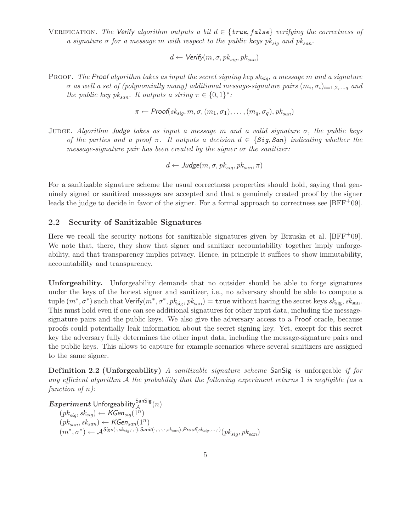VERIFICATION. The Verify algorithm outputs a bit  $d \in \{ \text{true}, \text{false} \}$  verifying the correctness of *a signature* σ *for a message* m *with respect to the public keys pksig and pksan.*

$$
d \leftarrow \text{Verify}(m, \sigma, \text{pk}_{\text{sig}}, \text{pk}_{\text{san}})
$$

Proof. *The Proof algorithm takes as input the secret signing key sksig, a message* <sup>m</sup> *and a signature*  $\sigma$  *as well a set of (polynomially many) additional message-signature pairs*  $(m_i, \sigma_i)_{i=1,2,...,q}$  *and the public key pk*<sub>*san</sub>. It outputs a string*  $\pi \in \{0, 1\}^*$ *:*</sub>

$$
\pi \leftarrow \text{Proof}(sk_{sig}, m, \sigma, (m_1, \sigma_1), \dots, (m_q, \sigma_q), \text{pk}_{san})
$$

Judge. *Algorithm Judge takes as input a message* m *and a valid signature* σ*, the public keys of the parties and a proof*  $\pi$ . It outputs a decision  $d \in \{Sig, San\}$  indicating whether the *message-signature pair has been created by the signer or the sanitizer:*

$$
d \leftarrow \text{Judge}(m, \sigma, \text{pk}_{\text{sig}}, \text{pk}_{\text{san}}, \pi)
$$

For a sanitizable signature scheme the usual correctness properties should hold, saying that genuinely signed or sanitized messages are accepted and that a genuinely created proof by the signer leads the judge to decide in favor of the signer. For a formal approach to correctness see  $[BFF^+09]$ .

#### **2.2 Security of Sanitizable Signatures**

Here we recall the security notions for sanitizable signatures given by Brzuska et al.  $[BFF^+09]$ . We note that, there, they show that signer and sanitizer accountability together imply unforgeability, and that transparency implies privacy. Hence, in principle it suffices to show immutability, accountability and transparency.

**Unforgeability.** Unforgeability demands that no outsider should be able to forge signatures under the keys of the honest signer and sanitizer, i.e., no adversary should be able to compute a  $\tanh(m^*, \sigma^*)$  such that  $\text{Verify}(m^*, \sigma^*, pk_{\text{sig}}, pk_{\text{san}}) = \text{true}$  without having the secret keys  $sk_{\text{sig}}, sk_{\text{san}}$ .<br>This must hold over if one can see additional signatures for other input data, including the message. This must hold even if one can see additional signatures for other input data, including the messagesignature pairs and the public keys. We also give the adversary access to a Proof oracle, because proofs could potentially leak information about the secret signing key. Yet, except for this secret key the adversary fully determines the other input data, including the message-signature pairs and the public keys. This allows to capture for example scenarios where several sanitizers are assigned to the same signer.

**Def inition 2.2 (Unforgeability)** *A sanitizable signature scheme* SanSig *is* unforgeable *if for any efficient algorithm* A *the probability that the following experiment returns* 1 *is negligible (as a function of* n*):*

*Experiment* Unforgeability  $\mathcal{A}^{Sansig}(n)$  $(pk_{sig}, sk_{sig}) \leftarrow KGen_{sig}(1^n)$ <br>(*pk* ak) × KGen (11)  $(pk_{san}, sk_{san}) \leftarrow \mathsf{KGen}_{san}(1^n)$ <br>  $(m^*, \tau^*)$  *A Sign*(  $sk_{sia}, \ldots$  *Sani*  $(m^*, \sigma^*) \leftarrow \mathcal{A}^{\mathcal{S} \textit{ign}(\cdot, sk_{sig}, \cdot, \cdot), \mathcal{S} \textit{anit}(\cdot, \cdot, \cdot, \cdot, \cdot, sk_{san}), \mathit{Proof}(sk_{sig}, \dots, \cdot)}(pk_{sig}, pk_{san})$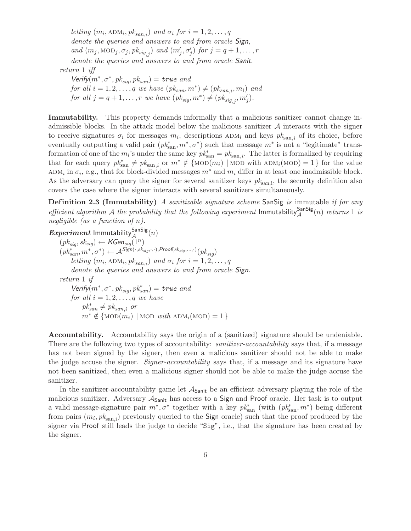*letting*  $(m_i, \text{ADM}_i, pk_{san,i})$  *and*  $\sigma_i$  *for*  $i = 1, 2, \ldots, q$ *denote the queries and answers to and from oracle Sign, and*  $(m_j, \text{MOD}_j, \sigma_j, pk_{sig,j})$  *and*  $(m'_j, \sigma'_j)$  *for*  $j = q + 1, \ldots, r$ <br>denote the guaries and guarante to and from excels  $\text{Smit}$ *denote the queries and answers to and from oracle Sanit. return* 1 *iff*  $Verify(m^*, \sigma^*, pk_{sig}, pk_{san}) = true$  and<br>for all i – 1.2<br>*g* and *bane* (pk *for all*  $i = 1, 2, \ldots, q$  *we have*  $(pk_{san}, m^*) \neq (pk_{san,i}, m_i)$  *and*<br>*for all*  $i = a + 1$  *r we have*  $(nk - m^*) \neq (nk - m')$ *for all*  $j = q + 1, ..., r$  *we have*  $(pk_{sig}, m^*) \neq (pk_{sig,j}, m'_j)$ *.* 

**Immutability.** This property demands informally that a malicious sanitizer cannot change inadmissible blocks. In the attack model below the malicious sanitizer  $A$  interacts with the signer to receive signatures  $\sigma_i$  for messages  $m_i$ , descriptions  $ADM_i$  and keys  $pk_{san,i}$  of its choice, before eventually outputting a valid pair  $(pk_{\text{san}}^*, m^*, \sigma^*)$  such that message  $m^*$  is not a "legitimate" trans-<br>formation of one of the m<sub>i</sub>'s under the same lear  $n^{k^*} = n^k$ . The letter is formalized by requiring formation of one of the  $m_i$ 's under the same key  $pk_{\text{san}}^* = pk_{\text{san},i}$ . The latter is formalized by requiring<br>that for each query  $nk^* \neq nk$  or  $m^* \notin MOD(m_i)$  | MOD with ADM (MOD) = 1 l for the value that for each query  $pk_{\text{san},i}^* \neq pk_{\text{san},i}$  or  $m^* \notin \{\text{MOD}(m_i) \mid \text{MOD with ADM}_i(\text{MOD})=1\}$  for the value ADM<sub>i</sub> in  $\sigma_i$ , e.g., that for block-divided messages  $m^*$  and  $m_i$  differ in at least one inadmissible block. As the adversary can query the signer for several sanitizer keys  $pk_{\text{san},i}$ , the security definition also covers the case where the signer interacts with several sanitizers simultaneously covers the case where the signer interacts with several sanitizers simultaneously.

**Def inition 2.3 (Immutability)** *A sanitizable signature scheme* SanSig *is* immutable *if for any efficient algorithm* A *the probability that the following experiment* Immutability $\mathcal{A}^{(n)}$  *returns* 1 *is negligible (as a function of* n*).*

*Experiment* Immutability  $\mathcal{A}^{Sansig}(n)$ <br>  $(nk - sk_n) \leftarrow KGen_n(1^n)$  $(pk_{sign}^*, sk_{sig}) \leftarrow \mathsf{KGen}_{sig}(1^n)$ <br>  $(pk_{san}^*, m^*, \sigma^*) \leftarrow \mathcal{A}^{\mathsf{Sign}(\cdot, sk_{sig},\cdot,\cdot)}, \mathsf{Proof}(sk_{sig},\dots,\cdot) (pk_{sig})$ *letting*  $(m_i, \text{ADM}_i, pk_{san,i})$  *and*  $\sigma_i$  *for*  $i = 1, 2, \ldots, q$ *denote the queries and answers to and from oracle Sign. return* 1 *if*  $Verify(m^*, \sigma^*, pk_{sig}, pk_{san}^*) = true$  and<br>for all i – 1.2<br>*a* supplement *for all*  $i = 1, 2, \ldots, q$  *we have*  $pk_{san}^* \neq pk_{san,i}$  *or*<br>  $m^* \notin \{ \text{MOD}(m) \}$  $m^* \notin \{\text{MOD}(m_i) \mid \text{MOD with ADM}_i(\text{MOD})=1\}$ 

**Accountability.** Accountability says the origin of a (sanitized) signature should be undeniable. There are the following two types of accountability: *sanitizer-accountability* says that, if a message has not been signed by the signer, then even a malicious sanitizer should not be able to make the judge accuse the signer. *Signer-accountability* says that, if a message and its signature have not been sanitized, then even a malicious signer should not be able to make the judge accuse the sanitizer.

In the sanitizer-accountability game let  $A_{Sanit}$  be an efficient adversary playing the role of the malicious sanitizer. Adversary  $A_{Sanit}$  has access to a Sign and Proof oracle. Her task is to output a valid message-signature pair  $m^*, \sigma^*$  together with a key  $pk^*_{\text{san}}$  (with  $(pk^*_{\text{san}}, m^*)$ ) being different from pairs  $(m, nk)$ ) proviously queried to the Sign grade) such that the proof produced by the from pairs  $(m_i, pk_{\text{san},i})$  previously queried to the Sign oracle) such that the proof produced by the signer via Proof still leads the judge to decide "Sig", i.e., that the signature has been created by the signer.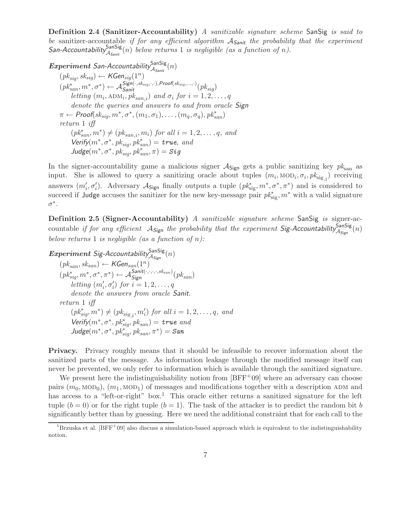**Def inition 2.4 (Sanitizer-Accountability)** *A sanitizable signature scheme* SanSig *is said to be* sanitizer-accountable *if for any efficient algorithm* <sup>A</sup>*Sanit the probability that the experiment*  $San$ -Accountability<sup>SanSig</sup> $(n)$  *below returns* 1 *is negligible (as a function of n)*.

 $Experiment$  *San-Accountability* $A_{Sanit}^{Sansig}(n)$  $(pk_{sig}, sk_{sig}) \leftarrow \mathsf{KGen}_{sig}(1^n)$  $(pk_{san}^*, m^*, \sigma^*) \leftarrow \mathcal{A}_{Sain}^{Sign(\cdot, s\kappa_{sig}, \cdot, \cdot), \text{Proof}(s\kappa_{sig}, \cdot, \cdot)}(pk_{sig})$ <br> *Letting*  $(m \cdot \text{ADM} \cdot n^k)$  and  $\sigma \cdot \text{for } i = 1, 2$ *letting*  $(m_i, \text{ADM}_i, pk_{san,i})$  *and*  $\sigma_i$  *for*  $i = 1, 2, \ldots, q$ *denote the queries and answers to and from oracle Sign*  $\pi \leftarrow \text{Proof}(sk_{sig}, m^*, \sigma^*, (m_1, \sigma_1), \dots, (m_q, \sigma_q), \text{pk}_{san}^*)$ *return* 1 *iff*  $(pk_{san}^*, m^*) \neq (pk_{san,i}, m_i)$  *for all*  $i = 1, 2, ..., q$ *, and*<br>Verifielm\*,  $\tau^*$ ,  $n_k$ ,  $n_k$ ,  $n_k$ ,  $n_k$ , and  $Verify(m^*, \sigma^*, pk_{sig}, pk_{san}^*) = true, and$ <br>  $fwd\sigma q(m^*, \sigma^*, pk_{s}^*) = \sigma^* q$  $Judge(m^*, \sigma^*, pk_{sig}, pk_{san}^*, \pi) = Sig$ 

In the signer-accountability game a malicious signer  $A_{Sign}$  gets a public sanitizing key  $pk_{san}$  as input. She is allowed to query a sanitizing oracle about tuples  $(m_i, \text{MOD}_i, \sigma_i, pk_{sig,i})$  receiving answers  $(m'_i, \sigma'_i)$ . Adversary  $\mathcal{A}_{Sign}$  finally outputs a tuple  $(\mathit{pk}_{sign}^*, m^*, \sigma^*, \pi^*)$  and is considered to succeed if ludge accuses the sanitizer for the new key message pair  $n^{k^*}$ ,  $m^*$  with a valid signature succeed if Judge accuses the sanitizer for the new key-message pair  $pk_{\text{sig}}^*$ ,  $m^*$  with a valid signature  $\sigma^*$  $\sigma^*$ .

**Def inition 2.5 (Signer-Accountability)** *A sanitizable signature scheme* SanSig *is* signer-accountable *if for any efficient*  $A_{Sign}$  *the probability that the experiment*  $Sign\_Acc$   $A_{Sign}$ <sup>n</sup> $(A)$ *below returns* 1 *is negligible (as a function of* n*):*

*Experiment Sig-Accountability*<sup>SanSig</sup> $(n)$  $(pk_{san}, sk_{san}) \leftarrow \mathsf{KGen}_{san}(1^n)$ <br>  $(pk_{sig}^*, m^*, \sigma^*, \pi^*) \leftarrow \mathsf{A}^{\mathsf{Sanit}(\cdot,\cdot,\cdot,\cdot,\mathsf{s}k_{san})}_{\mathsf{sign}}(pk_{san})$ *letting*  $(m'_i, \sigma'_i)$  *for*  $i = 1, 2, ..., q$ <br>denote the answers from oracle *denote the answers from oracle Sanit. return* 1 *iff*  $(pk_{sig}^*, m^*) \neq (pk_{sig}^*, m_i')$  *for all*  $i = 1, 2, ..., q$ *, and*<br>  $\text{Voci}$   $f_{\ell}(m^*, \sigma^*, m_i^{k^*}, m_i^{k^*}) = \text{true}$  and  $Verify(m^*, \sigma^*, pk^*_{sig}, pk_{san}) = true$  and<br>  $fwd\pi o(m^*, \sigma^*, pk^*) =$   $S\pi n$  $J$ udge $(m^*, \sigma^*, \mathit{pk}_{\mathit{sig}}^*, \mathit{pk}_{\mathit{san}}, \pi^*) = \mathit{San}$ 

**Privacy.** Privacy roughly means that it should be infeasible to recover information about the sanitized parts of the message. As information leakage through the modified message itself can never be prevented, we only refer to information which is available through the sanitized signature.

We present here the indistinguishability notion from  $[BFF^+09]$  where an adversary can choose pairs  $(m_0, \text{MOD}_0), (m_1, \text{MOD}_1)$  of messages and modifications together with a description ADM and has access to a "left-or-right" box.<sup>1</sup> This oracle either returns a sanitized signature for the left tuple  $(b = 0)$  or for the right tuple  $(b = 1)$ . The task of the attacker is to predict the random bit b significantly better than by guessing. Here we need the additional constraint that for each call to the

<sup>&</sup>lt;sup>1</sup>Brzuska et al. [BFF<sup>+09]</sup> also discuss a simulation-based approach which is equivalent to the indistinguishability notion.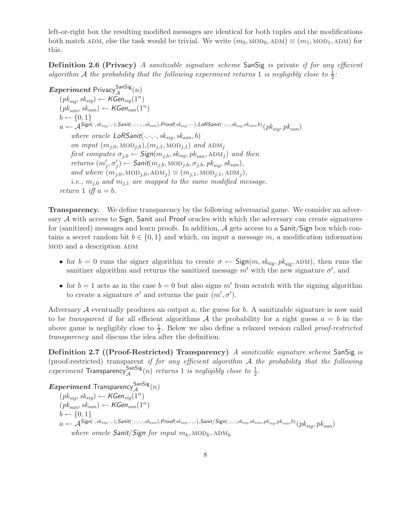left-or-right box the resulting modified messages are identical for both tuples and the modifications both match ADM, else the task would be trivial. We write  $(m_0, \text{MOD}_0, \text{ADM}) \equiv (m_1, \text{MOD}_1, \text{ADM})$  for this.

**Def inition 2.6 (Privacy)** *A sanitizable signature scheme* SanSig *is* private *if for any efficient algorithm* A *the probability that the following experiment returns* 1 *is negligibly close to*  $\frac{1}{2}$ *:* 

*Experiment* Privacy  $A^{Sansig}(n)$ <br>  $(nk - sk) \leftarrow KGen$  (1<sup>n</sup>)  $(pk_{sig}, sk_{sig}) \leftarrow KGen_{sig}(1^n)$ <br>(*pk* ak) × KGen (11)  $(pk_{san}, sk_{san}) \leftarrow \mathsf{KGen}_{san}(1^n)$  $b \leftarrow \{0, 1\}$  $a \leftarrow A^{Sign(\cdot,sk_{sig},\cdot,\cdot),Sanit(\cdot,\cdot,\cdot,\cdot,sk_{san}),Proof(sk_{sig},\cdot\cdot\cdot),LoRSanit(\cdot,\cdot,\cdot,sk_{sig},sk_{san},b)}(pk_{sig},pk_{san})$ *where oracle LoRSanit*(·, ·, ·, *sksig*, *sksan*, b) *on input*  $(m_{i,0}, \text{MOD}_{i,0}), (m_{i,1}, \text{MOD}_{i,1})$  *and*  $\text{ADM}_i$ *first computes*  $\sigma_{j,b} \leftarrow$  *Sign*( $m_{j,b}$ ,  $sk_{sig}$ ,  $pk_{san}$ ,  $ADM_j$ ) *and then returns*  $(m'_j, \sigma'_j) \leftarrow$  **Sanit** $(m_{j,b}, \text{MOD}_{j,b}, \sigma_{j,b}, \mathit{pk}_{sig}, \mathit{sk}_{san})$ ,<br>and where  $(m_{j,b}, \text{MOD}_{j,b}, \text{ADM}) = (m_{j,b}, \text{MOD}_{j,b}, \text{ADM})$ *and where*  $(m_{j,0}, \text{MOD}_{j,0}, \text{ADM}_{j}) \equiv (m_{j,1}, \text{MOD}_{j,1}, \text{ADM}_{j}),$ *i.e.,*  $m_{i,0}$  and  $m_{i,1}$  are mapped to the same modified message. *return* 1 *iff*  $a = b$ .

**Transparency.** We define transparency by the following adversarial game. We consider an adversary A with access to Sign, Sanit and Proof oracles with which the adversary can create signatures for (sanitized) messages and learn proofs. In addition,  $A$  gets access to a Sanit/Sign box which contains a secret random bit  $b \in \{0,1\}$  and which, on input a message m, a modification information mod and a description adm

- for  $b = 0$  runs the signer algorithm to create  $\sigma \leftarrow \text{Sign}(m, sk_{\text{sig}}, pk_{\text{sig}}, \text{ADM})$ , then runs the sanitizer algorithm and returns the sanitized message  $m'$  with the new signature  $\sigma'$ , and
- for  $b = 1$  acts as in the case  $b = 0$  but also signs m' from scratch with the signing algorithm to create a signature  $\sigma'$  and returns the pair  $(m', \sigma')$ .

Adversary  $A$  eventually produces an output  $a$ , the guess for  $b$ . A sanitizable signature is now said to be *transparent* if for all efficient algorithms A the probability for a right guess  $a = b$  in the above game is negligibly close to  $\frac{1}{2}$ . Below we also define a relaxed version called *proof-restricted*<br>transparency and discuss the idea after the definition *transparency* and discuss the idea after the definition.

**Def inition 2.7 ((Proof-Restricted) Transparency)** *A sanitizable signature scheme* SanSig *is* (proof-restricted) transparent *if for any efficient algorithm* A *the probability that the following* experiment  $\text{Transport}$   $\text{Transport}$   $\text{Transport}$   $\text{query}$   $\text{query}$   $\text{query}$   $\text{query}$   $\text{query}$   $\text{query}$   $\text{query}$   $\text{query}$   $\text{query}$   $\text{query}$   $\text{query}$   $\text{query}$   $\text{query}$   $\text{query}$   $\text{query}$   $\text{query}$   $\text{query}$   $\text{query}$   $\text{query}$   $\text{query}$   $\text{query}$   $\text{query}$   $\text{query}$   $\$ 

*Experiment* Transparency  $\mathcal{A}^{Sansig}(n)$ <br>  $(nk - sk_1) \leftarrow KGen_+(1^n)$  $(pk_{sig}, sk_{sig}) \leftarrow KGen_{sig}(1^n)$ <br>(*nk sk*) / *KGon* (11)  $(pk_{san}, sk_{san}) \leftarrow \mathsf{KGen}_{san}(1^n)$  $b \leftarrow \{0, 1\}$  $a \leftarrow A^{\text{Sign}(\cdot, s\kappa_{sig}, \cdot, \cdot), \text{Sanit}(\cdot, \cdot, \cdot, \cdot, s\kappa_{san}), \text{Proof}(s\kappa_{sig}, \ldots, \cdot), \text{Sanit}/\text{Sign}(\cdot, \cdot, \cdot, s\kappa_{sig}, s\kappa_{san}, p\kappa_{sig}, p\kappa_{san})} (pk_{sig}, pk_{san})$ *where oracle Sanit*/*Sign for input*  $m_k$ ,  $\text{MOD}_k$ ,  $\text{ADM}_k$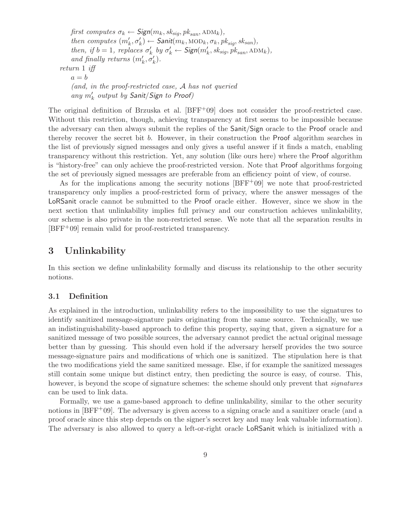*first computes*  $\sigma_k \leftarrow$  *Sign* $(m_k, sk_{sig}, pk_{san}, \text{ADM}_k)$ *, then computes*  $(m'_k, \sigma'_k) \leftarrow$  **Sanit** $(m_k, \text{MOD}_k, \sigma_k, pk_{sig}, sk_{san})$ ,<br>
then if  $h - 1$  replaces  $\sigma'$  by  $\sigma' \leftarrow$  Sign(m' sk, nk, AD *then, if*  $b = 1$ *, replaces*  $\sigma'_k$  *by*  $\sigma'_k \leftarrow$  *Sign*( $m'_k$ ,  $sk_{sig}$ ,  $pk_{san}$ , ADM<sub>k</sub>)*,* and finally returns  $(m'_k, \sigma'_k)$ *and finally returns*  $(m'_k, \sigma'_k)$ *.*<br>*krm* 1 *iff return* 1 *iff*  $a = b$ *(and, in the proof-restricted case,* A *has not queried*  $any \, m'_k \, output \, by \, Sanit/Sign \, to \, Proof$ 

The original definition of Brzuska et al. [BFF+09] does not consider the proof-restricted case. Without this restriction, though, achieving transparency at first seems to be impossible because the adversary can then always submit the replies of the Sanit/Sign oracle to the Proof oracle and thereby recover the secret bit b. However, in their construction the Proof algorithm searches in the list of previously signed messages and only gives a useful answer if it finds a match, enabling transparency without this restriction. Yet, any solution (like ours here) where the Proof algorithm is "history-free" can only achieve the proof-restricted version. Note that Proof algorithms forgoing the set of previously signed messages are preferable from an efficiency point of view, of course.

As for the implications among the security notions [BFF+09] we note that proof-restricted transparency only implies a proof-restricted form of privacy, where the answer messages of the LoRSanit oracle cannot be submitted to the Proof oracle either. However, since we show in the next section that unlinkability implies full privacy and our construction achieves unlinkability, our scheme is also private in the non-restricted sense. We note that all the separation results in [BFF+09] remain valid for proof-restricted transparency.

### **3 Unlinkability**

In this section we define unlinkability formally and discuss its relationship to the other security notions.

#### **3.1 Definition**

As explained in the introduction, unlinkability refers to the impossibility to use the signatures to identify sanitized message-signature pairs originating from the same source. Technically, we use an indistinguishability-based approach to define this property, saying that, given a signature for a sanitized message of two possible sources, the adversary cannot predict the actual original message better than by guessing. This should even hold if the adversary herself provides the two source message-signature pairs and modifications of which one is sanitized. The stipulation here is that the two modifications yield the same sanitized message. Else, if for example the sanitized messages still contain some unique but distinct entry, then predicting the source is easy, of course. This, however, is beyond the scope of signature schemes: the scheme should only prevent that *signatures* can be used to link data.

Formally, we use a game-based approach to define unlinkability, similar to the other security notions in [BFF<sup>+</sup>09]. The adversary is given access to a signing oracle and a sanitizer oracle (and a proof oracle since this step depends on the signer's secret key and may leak valuable information). The adversary is also allowed to query a left-or-right oracle LoRSanit which is initialized with a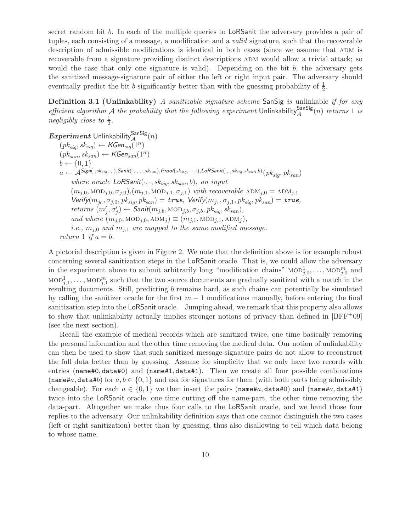secret random bit b. In each of the multiple queries to LoRSanit the adversary provides a pair of tuples, each consisting of a message, a modification and a *valid* signature, such that the recoverable description of admissible modifications is identical in both cases (since we assume that ADM is recoverable from a signature providing distinct descriptions ADM would allow a trivial attack; so would the case that only one signature is valid). Depending on the bit  $b$ , the adversary gets the sanitized message-signature pair of either the left or right input pair. The adversary should eventually predict the bit b significantly better than with the guessing probability of  $\frac{1}{2}$ .

**Def inition 3.1 (Unlinkability)** *A sanitizable signature scheme* SanSig *is* unlinkable *if for any efficient algorithm* A *the probability that the following experiment* Unlinkability $\mathcal{A}^{(n)}$  *returns* 1 *is negligibly close to*  $\frac{1}{2}$ *.* 

*Experiment* Unlinkability  $\mathcal{A}^{(\text{max})}$  $(pk_{sig}, sk_{sig}) \leftarrow KGen_{sig}(1^n)$ <br>(*nk sk*) / *KGon* (11)  $(pk_{san}, sk_{san}) \leftarrow \mathsf{KGen}_{san}(1^n)$  $b \leftarrow \{0, 1\}$  $a \leftarrow A^{\mathcal{S} \text{Jg} \text{m}(\cdot,sk_{sig},\cdot,\cdot), \mathcal{S} \text{an} \text{r}(\cdot,\cdot,\cdot,\cdot,\cdot,sk_{san}), \text{Proof}(sk_{sig},\cdots,\cdot), \text{LoRS} \text{an} \text{r}(\cdot,\cdot,sk_{sig},sk_{san},b)}(pk_{sig},pk_{san})$ *where oracle LoRSanit*(·, ·, *sksig*, *sksan*, b)*, on input*  $(m_{j,0}, \text{MOD}_{j,0}, \sigma_{j,0}), (m_{j,1}, \text{MOD}_{j,1}, \sigma_{j,1})$  *with recoverable*  $\text{ADM}_{j,0} = \text{ADM}_{j,1}$ *<i>, <i>,*  $return s$   $(m'_j, \sigma'_j) \leftarrow$   $Sanit(m_{j,b}, \text{MOD}_{j,b}, \sigma_{j,b}, \text{pk}_{sig}, \text{sk}_{san})$ ,<br>and where  $(m_{j,b}, \text{MOD}_{j,b}, \text{ADM}) = (m_{j,b}, \text{MOD}_{j,b}, \text{ADM})$ *and where*  $(m_{j,0}, \text{MOD}_{j,0}, \text{ADM}_{j}) \equiv (m_{j,1}, \text{MOD}_{j,1}, \text{ADM}_{j}),$ *i.e.,*  $m_{j,0}$  and  $m_{j,1}$  are mapped to the same modified message. *return* 1 *if*  $a = b$ .

A pictorial description is given in Figure 2. We note that the definition above is for example robust concerning several sanitization steps in the LoRSanit oracle. That is, we could allow the adversary in the experiment above to submit arbitrarily long "modification chains"  $MOD_{j,0}^1, \ldots, MOD_{j,0}^m$  and<br>MOD<sup>1</sup> and that the two source decuments are gradually senitieed with a match in the  $\text{MOD}_{j,1}^1, \ldots, \text{MOD}_{j,1}^m$  such that the two source documents are gradually sanitized with a match in the resulting documents. Still, predicting h remains hard, as such chains can potentially be simulated resulting documents. Still, predicting b remains hard, as such chains can potentially be simulated by calling the sanitizer oracle for the first  $m-1$  modifications manually, before entering the final sanitization step into the LoRSanit oracle. Jumping ahead, we remark that this property also allows to show that unlinkability actually implies stronger notions of privacy than defined in  $[BF<sup>+</sup>09]$ (see the next section).

Recall the example of medical records which are sanitized twice, one time basically removing the personal information and the other time removing the medical data. Our notion of unlinkability can then be used to show that such sanitized message-signature pairs do not allow to reconstruct the full data better than by guessing. Assume for simplicity that we only have two records with entries (name#0, data#0) and (name#1, data#1). Then we create all four possible combinations (name#a, data#b) for  $a, b \in \{0, 1\}$  and ask for signatures for them (with both parts being admissibly changeable). For each  $a \in \{0,1\}$  we then insert the pairs (name#a, data#0) and (name#a, data#1) twice into the LoRSanit oracle, one time cutting off the name-part, the other time removing the data-part. Altogether we make thus four calls to the LoRSanit oracle, and we hand those four replies to the adversary. Our unlinkability definition says that one cannot distinguish the two cases (left or right sanitization) better than by guessing, thus also disallowing to tell which data belong to whose name.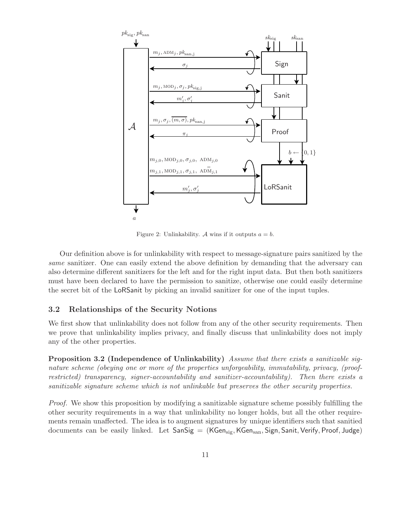

Figure 2: Unlinkability. A wins if it outputs  $a = b$ .

Our definition above is for unlinkability with respect to message-signature pairs sanitized by the *same* sanitizer. One can easily extend the above definition by demanding that the adversary can also determine different sanitizers for the left and for the right input data. But then both sanitizers must have been declared to have the permission to sanitize, otherwise one could easily determine the secret bit of the LoRSanit by picking an invalid sanitizer for one of the input tuples.

#### **3.2 Relationships of the Security Notions**

We first show that unlinkability does not follow from any of the other security requirements. Then we prove that unlinkability implies privacy, and finally discuss that unlinkability does not imply any of the other properties.

**Proposition 3.2 (Independence of Unlinkability)** *Assume that there exists a sanitizable signature scheme (obeying one or more of the properties unforgeability, immutability, privacy, (proofrestricted) transparency, signer-accountability and sanitizer-accountability). Then there exists a sanitizable signature scheme which is not unlinkable but preserves the other security properties.*

*Proof.* We show this proposition by modifying a sanitizable signature scheme possibly fulfilling the other security requirements in a way that unlinkability no longer holds, but all the other requirements remain unaffected. The idea is to augment signatures by unique identifiers such that sanitied documents can be easily linked. Let  $SanSig = (KGen_{sig},KGen_{san},Sign, Sanit,Verify, Proof, Judge)$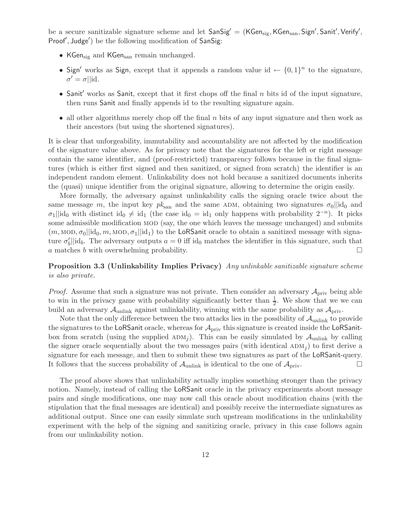be a secure sanitizable signature scheme and let  $\mathsf{SanSig}' = (\mathsf{KGen}_\mathsf{sig}, \mathsf{KGen}_\mathsf{san}, \mathsf{Sign}', \mathsf{Sanit}', \mathsf{Verify}',$ Proof', Judge') be the following modification of SanSig:

- $KGen<sub>sig</sub>$  and  $KGen<sub>san</sub>$  remain unchanged.
- Sign' works as Sign, except that it appends a random value id  $\leftarrow \{0,1\}^n$  to the signature,  $\sigma' = \sigma ||$ id.
- Sanit' works as Sanit, except that it first chops off the final  $n$  bits id of the input signature, then runs Sanit and finally appends id to the resulting signature again.
- all other algorithms merely chop off the final  $n$  bits of any input signature and then work as their ancestors (but using the shortened signatures).

It is clear that unforgeability, immutability and accountability are not affected by the modification of the signature value above. As for privacy note that the signatures for the left or right message contain the same identifier, and (proof-restricted) transparency follows because in the final signatures (which is either first signed and then sanitized, or signed from scratch) the identifier is an independent random element. Unlinkability does not hold because a sanitized documents inherits the (quasi) unique identifier from the original signature, allowing to determine the origin easily.

More formally, the adversary against unlinkability calls the signing oracle twice about the same message m, the input key  $pk_{\text{san}}$  and the same ADM, obtaining two signatures  $\sigma_0||\text{id}_0$  and  $\tau_0||\text{id}_0$  and  $\tau_1||\text{id}_1$  with distinct is  $\pm$  is  $\text{id}_1$  (the same is  $\tau_1$ ) is also with probability  $2^{-n}$ ). It  $\sigma_1$ ||id<sub>0</sub> with distinct id<sub>0</sub>  $\neq$  id<sub>1</sub> (the case id<sub>0</sub> = id<sub>1</sub> only happens with probability  $2^{-n}$ ). It picks some admissible modification mod (say, the one which leaves the message unchanged) and submits  $(m, \text{MOD}, \sigma_0||\text{id}_0, m, \text{MOD}, \sigma_1||\text{id}_1)$  to the LoRSanit oracle to obtain a sanitized message with signature  $\sigma'_b$ ||id<sub>b</sub>. The adversary outputs  $a = 0$  iff id<sub>0</sub> matches the identifier in this signature, such that a matches h with overwhelming probability a matches b with overwhelming probability.  $\Box$ 

### **Proposition 3.3 (Unlinkability Implies Privacy)** *Any unlinkable sanitizable signature scheme is also private.*

*Proof.* Assume that such a signature was not private. Then consider an adversary  $A_{\text{priv}}$  being able to win in the privacy game with probability significantly better than  $\frac{1}{2}$ . We show that we we can<br>build an adversary  $A_{\text{out}}$  against unlinkability winning with the same probability as  $A_{\text{out}}$ . build an adversary  $\mathcal{A}_{\text{unlink}}$  against unlinkability, winning with the same probability as  $\mathcal{A}_{\text{priv}}$ .

Note that the only difference between the two attacks lies in the possibility of  $\mathcal{A}_{\text{unlink}}$  to provide the signatures to the LoRSanit oracle, whereas for  $A_{\text{priv}}$  this signature is created inside the LoRSanitbox from scratch (using the supplied  $ADM_i$ ). This can be easily simulated by  $\mathcal{A}_{\text{unlink}}$  by calling the signer oracle sequentially about the two messages pairs (with identical  $ADM_{ij}$ ) to first derive a signature for each message, and then to submit these two signatures as part of the LoRSanit-query. It follows that the success probability of  $\mathcal{A}_{\text{unlink}}$  is identical to the one of  $\mathcal{A}_{\text{priv}}$ .

The proof above shows that unlinkability actually implies something stronger than the privacy notion. Namely, instead of calling the LoRSanit oracle in the privacy experiments about message pairs and single modifications, one may now call this oracle about modification chains (with the stipulation that the final messages are identical) and possibly receive the intermediate signatures as additional output. Since one can easily simulate such upstream modifications in the unlinkability experiment with the help of the signing and sanitizing oracle, privacy in this case follows again from our unlinkability notion.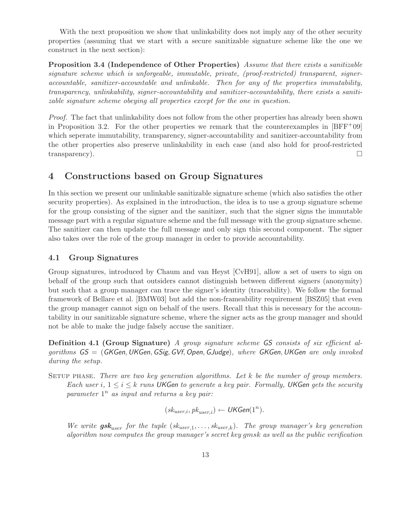With the next proposition we show that unlinkability does not imply any of the other security properties (assuming that we start with a secure sanitizable signature scheme like the one we construct in the next section):

**Proposition 3.4 (Independence of Other Properties)** *Assume that there exists a sanitizable signature scheme which is unforgeable, immutable, private, (proof-restricted) transparent, signeraccountable, sanitizer-accountable and unlinkable. Then for any of the properties immutability, transparency, unlinkability, signer-accountability and sanitizer-accountability, there exists a sanitizable signature scheme obeying all properties except for the one in question.*

*Proof.* The fact that unlinkability does not follow from the other properties has already been shown in Proposition 3.2. For the other properties we remark that the counterexamples in  $[BFF^+09]$ which seperate immutability, transparency, signer-accountability and sanitizer-accountability from the other properties also preserve unlinkability in each case (and also hold for proof-restricted transparency).  $\Box$ 

### **4 Constructions based on Group Signatures**

In this section we present our unlinkable sanitizable signature scheme (which also satisfies the other security properties). As explained in the introduction, the idea is to use a group signature scheme for the group consisting of the signer and the sanitizer, such that the signer signs the immutable message part with a regular signature scheme and the full message with the group signature scheme. The sanitizer can then update the full message and only sign this second component. The signer also takes over the role of the group manager in order to provide accountability.

#### **4.1 Group Signatures**

Group signatures, introduced by Chaum and van Heyst [CvH91], allow a set of users to sign on behalf of the group such that outsiders cannot distinguish between different signers (anonymity) but such that a group manager can trace the signer's identity (traceability). We follow the formal framework of Bellare et al. [BMW03] but add the non-frameability requirement [BSZ05] that even the group manager cannot sign on behalf of the users. Recall that this is necessary for the accountability in our sanitizable signature scheme, where the signer acts as the group manager and should not be able to make the judge falsely accuse the sanitizer.

**Definition 4.1 (Group Signature)** *A group signature scheme GS consists of six efficient algorithms GS* = (*GKGen*,*UKGen*,*GSig*,*GVf*, *Open*,*GJudge*)*, where GKGen*,*UKGen are only invoked during the setup.*

Setup phase. *There are two key generation algorithms. Let* k *be the number of group members. Each user*  $i, 1 \leq i \leq k$  *runs UKGen to generate a key pair. Formally, UKGen gets the security parameter* 1<sup>n</sup> *as input and returns a key pair:*

 $(sk_{user,i}, pk_{user,i}) \leftarrow UKGen(1^n).$ 

*We write*  $gsk_{user}$  *for the tuple*  $(k_{user,1},\ldots,k_{user,k})$ *. The group manager's key generation algorithm now computes the group manager's secret key* gmsk *as well as the public verification*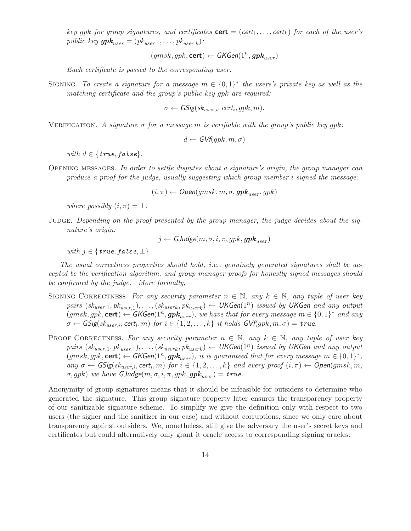*key* gpk for group signatures, and certificates **cert** = (**cert**<sub>1</sub>,..., **cert**<sub>k</sub>) for each of the user's *public key*  $g p k_{user} = (p k_{user,1}, \ldots, p k_{user,k})$ :

 $(gmsk, qpk, \textbf{cert}) \leftarrow GKGen(1^n, qpk_{user})$ 

*Each certificate is passed to the corresponding user.*

Signing. *To create a signature for a message* m ∈ {0, 1}<sup>∗</sup> *the users's private key as well as the matching certificate and the group's public key* gpk *are required:*

$$
\sigma \leftarrow \text{GSig}(sk_{user,i}, cert_i, gpk, m).
$$

VERIFICATION. A signature  $\sigma$  for a message m is verifiable with the group's public key gpk:

 $d \leftarrow \text{GVf}(qpk, m, \sigma)$ 

*with*  $d \in \{ \text{true}, \text{false} \}.$ 

Opening messages. *In order to settle disputes about a signature's origin, the group manager can produce a proof for the judge, usually suggesting which group member* i *signed the message:*

 $(i, \pi) \leftarrow \text{Open}(gmsk, m, \sigma, \textbf{gpk}_{user}, gpk)$ 

*where possibly*  $(i, \pi) = \perp$ *.* 

Judge. Depending on the proof presented by the group manager, the judge decides about the sig*nature's origin:*

 $j \leftarrow \text{GJudge}(m, \sigma, i, \pi, qpk, \textbf{qpk}_{user})$ 

*with*  $j \in \{ \text{true}, \text{false}, \perp \}.$ 

*The usual correctness properties should hold, i.e., genuinely generated signatures shall be accepted be the verification algorithm, and group manager proofs for honestly signed messages should be confirmed by the judge. More formally,*

- SIGNING CORRECTNESS. For any security parameter  $n \in \mathbb{N}$ , any  $k \in \mathbb{N}$ , any tuple of user key  $pairs (sk_{user,1}, pk_{user,1}), \ldots, (sk_{userk}, pk_{userk}) \leftarrow UKGen(1^n)$  issued by UKGen and any output  $(gmsk, gpk, \text{cert}) \leftarrow GKGen(1^n, gpk_{user}),$  we have that for every message  $m \in \{0,1\}^*$  and any  $\sigma \leftarrow GSig(sk_{user,i}, cert_i, m)$  *for*  $i \in \{1, 2, ..., k\}$  *it holds*  $GVf(gpk, m, \sigma) = true$ *.*
- PROOF CORRECTNESS. For any security parameter  $n \in \mathbb{N}$ , any  $k \in \mathbb{N}$ , any tuple of user key  $pairs (sk_{user,1}, pk_{user,1}), \ldots, (sk_{userk}, pk_{userk}) \leftarrow UKGen(1^n)$  issued by UKGen and any output  $(gmsk, gpk, \text{cert}) \leftarrow GKGen(1^n, gpk_{user}),$  *it is guaranteed that for every message*  $m \in \{0,1\}^*,$  $any \sigma \leftarrow GSig(sk_{user,i}, cert_i, m)$  *for*  $i \in \{1, 2, ..., k\}$  *and every proof*  $(i, \pi) \leftarrow Open(gmsk, m,$  $\sigma$ , gpk) we have **GJudge** $(m, \sigma, i, \pi, gpk, gpk_{user}) = true$ .

Anonymity of group signatures means that it should be infeasible for outsiders to determine who generated the signature. This group signature property later ensures the transparency property of our sanitizable signature scheme. To simplify we give the definition only with respect to two users (the signer and the sanitizer in our case) and without corruptions, since we only care about transparency against outsiders. We, nonetheless, still give the adversary the user's secret keys and certificates but could alternatively only grant it oracle access to corresponding signing oracles: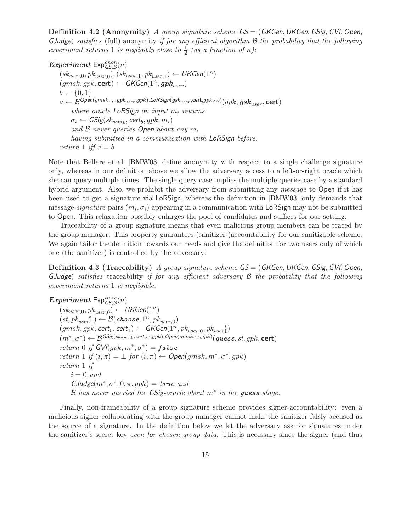**Def inition 4.2 (Anonymity)** *A group signature scheme GS* = (*GKGen*,*UKGen*,*GSig*,*GVf*, *Open*, *GJudge*) *satisfies* (full) anonymity *if for any efficient algorithm* B *the probability that the following experiment returns* 1 *is negligibly close to*  $\frac{1}{2}$  (*as a function of n)*:

*Experiment*  $Exp_{GS,\mathcal{B}}^{anon}(n)$  $(k_{user,0}, \mathit{pk}_{user,0}), (sk_{user,1}, \mathit{pk}_{user,1}) \leftarrow \mathsf{UKGen}(1^n)$  $(gmsk, gpk, \text{cert}) \leftarrow GKGen(1^n, gpk_{user})$  $b \leftarrow \{0, 1\}$  $a \leftarrow \mathcal{B}^{Open(gmsk,\cdot,\cdot,\cdot,gpk_{user},gpk), LoRSign(gsk_{user},\mathsf{cert},gpk,\cdot,b)}(gpk, gsk_{user},\mathsf{cert})$ *where oracle LoRSign on input*  $m_i$  *returns*  $\sigma_i \leftarrow GSig(sk_{userb}, cert_b, gpk, m_i)$ and  $\beta$  *never queries* Open *about any*  $m_i$ *having submitted in a communication with LoRSign before. return* 1 *iff*  $a = b$ 

Note that Bellare et al. [BMW03] define anonymity with respect to a single challenge signature only, whereas in our definition above we allow the adversary access to a left-or-right oracle which she can query multiple times. The single-query case implies the multiple-queries case by a standard hybrid argument. Also, we prohibit the adversary from submitting any *message* to Open if it has been used to get a signature via LoRSign, whereas the definition in [BMW03] only demands that message-*signature* pairs  $(m_i, \sigma_i)$  appearing in a communication with LoRSign may not be submitted to Open. This relaxation possibly enlarges the pool of candidates and suffices for our setting.

Traceability of a group signature means that even malicious group members can be traced by the group manager. This property guarantees (sanitizer-)accountability for our sanitizable scheme. We again tailor the definition towards our needs and give the definition for two users only of which one (the sanitizer) is controlled by the adversary:

**Def inition 4.3 (Traceability)** *A group signature scheme GS* = (*GKGen*,*UKGen*,*GSig*,*GVf*, *Open*, *GJudge*) *satisfies* traceability *if for any efficient adversary* B *the probability that the following experiment returns* 1 *is negligible:*

 $Experiment \; Exp_{GS,B}^{trace}(n)$  $(k_{user,0}, pk_{user,0}) \leftarrow UKGen(1^n)$  $(st, pk_{user,1}^*) \leftarrow \mathcal{B}(choose, 1^n, pk_{user,0})$ <br>(*cmak cmk cort, cort)*  $\left(\frac{CKCon(1^n, 1^n, 1^n)}{CKCon(1^n, 1^n, 1^n, 1^n)}\right)$  $(gmsk, gpk, cert_0, cert_1) \leftarrow GKGen(1^n, pk_{user,0}, pk_{user1})$ <br>  $(m^*, \sigma^*) \leftarrow \mathcal{B}^{GSig(sk_{user,0},cert_0, \cdot, gpk), Open(gmsk, \cdot, \cdot, gpk)}$  (guess, st, gpk, cert)<br>
return 0, if  $GVH, cnk, m^*$ ,  $\sigma^*) =$  faloe *return* 0 *if*  $GVf(qpk, m^*, \sigma^*) = false$ *return* 1 *if*  $(i, \pi) = \bot$  *for*  $(i, \pi) \leftarrow \text{Open}(gmsk, m^*, \sigma^*, gpk)$ *return* 1 *if*  $i = 0$  and  $GJudge(m^*, \sigma^*, 0, \pi, gpk) = true$  *and* <sup>B</sup> *has never queried the GSig-oracle about* <sup>m</sup><sup>∗</sup> *in the guess stage.*

Finally, non-frameability of a group signature scheme provides signer-accountability: even a malicious signer collaborating with the group manager cannot make the sanitizer falsly accused as the source of a signature. In the definition below we let the adversary ask for signatures under the sanitizer's secret key *even for chosen group data*. This is necessary since the signer (and thus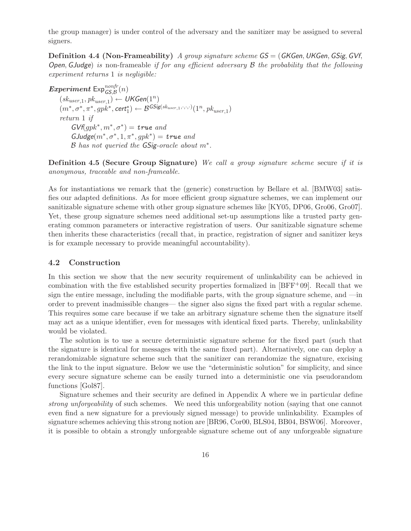the group manager) is under control of the adversary and the sanitizer may be assigned to several signers.

**Def inition 4.4 (Non-Frameability)** *A group signature scheme GS* = (*GKGen*,*UKGen*,*GSig*,*GVf*, *Open*,*GJudge*) *is* non-frameable *if for any efficient adversary* B *the probability that the following experiment returns* 1 *is negligible:*

 $Experiment \exp^{nonir}_{GS,B}(n)$  $(k_{user,1}, pk_{user,1}) \leftarrow UKGen(1^n)$  $(m^*, \sigma^*, \pi^*, gpk^*, cert_1^*) \leftarrow \mathcal{B}^{\mathsf{GSig}(\mathit{skuser},1,\cdot,\cdot,\cdot)}(1^n, pk_{user,1})$ *return* 1 *if*  $GVf(qpk^*, m^*, \sigma^*) = \text{true}$  and  $GJudge(m^*, \sigma^*, 1, \pi^*, gpk^*) = true$  and B *has not queried the GSig-oracle about* m∗*.*

**Def inition 4.5 (Secure Group Signature)** *We call a group signature scheme* secure *if it is anonymous, traceable and non-frameable.*

As for instantiations we remark that the (generic) construction by Bellare et al. [BMW03] satisfies our adapted definitions. As for more efficient group signature schemes, we can implement our sanitizable signature scheme with other group signature schemes like [KY05, DP06, Gro06, Gro07]. Yet, these group signature schemes need additional set-up assumptions like a trusted party generating common parameters or interactive registration of users. Our sanitizable signature scheme then inherits these characteristics (recall that, in practice, registration of signer and sanitizer keys is for example necessary to provide meaningful accountability).

#### **4.2 Construction**

In this section we show that the new security requirement of unlinkability can be achieved in combination with the five established security properties formalized in [BFF+09]. Recall that we sign the entire message, including the modifiable parts, with the group signature scheme, and —in order to prevent inadmissible changes— the signer also signs the fixed part with a regular scheme. This requires some care because if we take an arbitrary signature scheme then the signature itself may act as a unique identifier, even for messages with identical fixed parts. Thereby, unlinkability would be violated.

The solution is to use a secure deterministic signature scheme for the fixed part (such that the signature is identical for messages with the same fixed part). Alternatively, one can deploy a rerandomizable signature scheme such that the sanitizer can rerandomize the signature, excising the link to the input signature. Below we use the "deterministic solution" for simplicity, and since every secure signature scheme can be easily turned into a deterministic one via pseudorandom functions [Gol87].

Signature schemes and their security are defined in Appendix A where we in particular define *strong unforgeability* of such schemes. We need this unforgeability notion (saying that one cannot even find a new signature for a previously signed message) to provide unlinkability. Examples of signature schemes achieving this strong notion are [BR96, Cor00, BLS04, BB04, BSW06]. Moreover, it is possible to obtain a strongly unforgeable signature scheme out of any unforgeable signature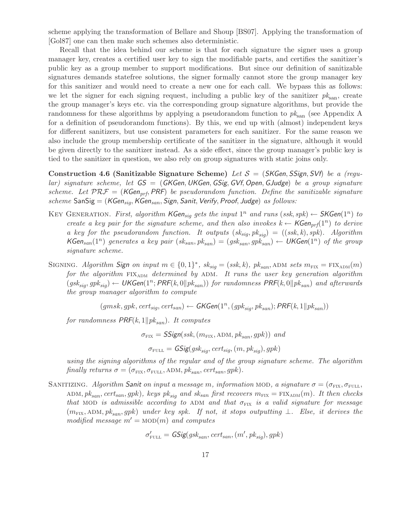scheme applying the transformation of Bellare and Shoup [BS07]. Applying the transformation of [Gol87] one can then make such schemes also deterministic.

Recall that the idea behind our scheme is that for each signature the signer uses a group manager key, creates a certified user key to sign the modifiable parts, and certifies the sanitizer's public key as a group member to support modifications. But since our definition of sanitizable signatures demands statefree solutions, the signer formally cannot store the group manager key for this sanitizer and would need to create a new one for each call. We bypass this as follows: we let the signer for each signing request, including a public key of the sanitizer  $pk_{\text{san}}$ , create<br>the group manager's keys etc. via the corresponding group signature algorithms, but provide the the group manager's keys etc. via the corresponding group signature algorithms, but provide the randomness for these algorithms by applying a pseudorandom function to  $pk_{\text{san}}$  (see Appendix A<br>for a definition of pseudorandom functions). By this, we end up with (almost) independent leves for a definition of pseudorandom functions). By this, we end up with (almost) independent keys for different sanitizers, but use consistent parameters for each sanitizer. For the same reason we also include the group membership certificate of the sanitizer in the signature, although it would be given directly to the sanitizer instead. As a side effect, since the group manager's public key is tied to the sanitizer in question, we also rely on group signatures with static joins only.

**Construction 4.6 (Sanitizable Signature Scheme)** *Let* S = (*SKGen*, *SSign*, *SVf*) *be a (regular) signature scheme, let GS* = (*GKGen*,*UKGen*,*GSig*,*GVf*, *Open*,*GJudge*) *be a group signature scheme.* Let  $PRF = (KGen_{nrf}, PRF)$  be pseudorandom function. Define the sanitizable signature *scheme* SanSig = (*KGensig*,*KGensan*, *Sign*, *Sanit*,*Verify*, *Proof*, *Judge*) *as follows:*

- KEY GENERATION. *First, algorithm KGen*<sub>*siq gets the input*  $1^n$  *and runs* (*ssk, spk*)  $\leftarrow$  **SKGen**( $1^n$ ) *to*</sub> *create a key pair for the signature scheme, and then also invokes*  $k \leftarrow \text{KGen}_{\text{prf}}(1^n)$  *to derive a key for the pseudorandom function. It outputs*  $(s k_{s i q}, p k_{s i q}) = ((s s k, k), s p k)$ . Algorithm  $KGen_{san}(1^n)$  generates a key pair  $(sk_{san}, pk_{san}) = (gsk_{san}, gpk_{san}) \leftarrow UKGen(1^n)$  of the group *signature scheme.*
- SIGNING. *Algorithm* Sign on input  $m \in \{0,1\}^*$ ,  $sk_{sig} = (ssk, k)$ ,  $pk_{san}$ , ADM  $sets m_{\text{FIN}} = \text{FIN}_{\text{ADM}}(m)$ *for the algorithm*  $FIX_{ADM}$  *determined by* ADM. It runs the user key generation algorithm  $(gsk_{sig}, gpk_{sig}) \leftarrow UKGen(1^n; PRF(k, 0||pk_{san}))$  *for randomness*  $PRF(k, 0||pk_{san})$  *and afterwards*<br>the group manager glasrithm to compute *the group manager algorithm to compute*

 $(gmsk, gpk, cert_{sig}, cert_{san}) \leftarrow GKGen(1^n, (gpk_{sig}, pk_{san}); PRF(k, 1||pk_{san}))$ 

*for randomness*  $PRF(k, 1||pk_{san})$ *. It computes* 

 $\sigma_{\text{FIX}} = \text{SSign}(ssk,(m_{\text{FIX}}, \text{ADM}, pk_{san}, gpk))$  and  $\sigma_{\text{FULL}} = G\text{Sig}(gsk_{sig}, cert_{sig},(m, pk_{sig}), gpk)$ 

*using the signing algorithms of the regular and of the group signature scheme. The algorithm finally returns*  $\sigma = (\sigma_{\text{FIX}}, \sigma_{\text{FULL}}, \text{ADM}, pk_{san}, cert_{san}, gpk)$ .

SANITIZING. *Algorithm* **Sanit** on input a message m, information MOD, a signature  $\sigma = (\sigma_{\text{FIX}}, \sigma_{\text{FULI}})$ ADM,  $pk_{san}$ ,  $cert_{san}$ ,  $gpk$ *)*, keys  $pk_{sig}$  and  $sk_{san}$  first recovers  $m_{\text{FIX}} = \text{FIX}_{\text{ADM}}(m)$ . It then checks that MOD is admissible according to ADM and that  $\sigma$  is a valid signature for massage *that* MOD *is admissible according to ADM and that*  $\sigma_{\text{FIX}}$  *is a valid signature for message*  $(m_{\text{FLX}}, \text{ADM}, p k_{san}, g p k)$  *under key spk. If not, it stops outputting*  $\perp$ *. Else, it derives the*<br>modified message  $m' = \text{MOD}(m)$  and computes  $modified$  message  $m' = \text{MOD}(m)$  and computes

$$
\sigma'_{\text{FULL}} = \text{GSig}(gsk_{san}, cert_{san}, (m', pk_{sig}), gpk)
$$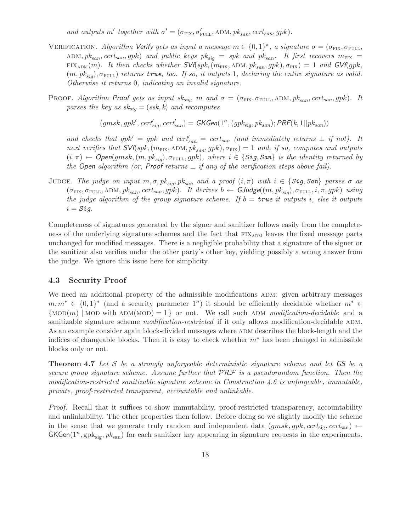*and outputs*  $m'$  *together with*  $\sigma' = (\sigma_{\text{FIX}}, \sigma'_{\text{FULL}}, \text{ADM}, pk_{san}, cert_{san}, gpk)$ .

- VERIFICATION. *Algorithm Verify gets* as input a message  $m \in \{0,1\}^*$ , a signature  $\sigma = (\sigma_{\text{FIX}}, \sigma_{\text{FULI}})$ ADM,  $pk_{san}$ ,  $cert_{san}$ ,  $gpk$  and  $public$   $keys$   $pk_{sig}$  =  $spk$  and  $pk_{san}$ . It first recovers  $m_{\text{Fix}}$  =  $(m)$ ,  $H$  then ghoshs whather  $S\mathcal{U}$  and  $(m)$ ,  $N$ ,  $m$  and  $f \mathcal{U}$  and  $f \mathcal{U}$  and  $f \mathcal{U}$  and  $f \mathcal{U}$  and  $f \mathcal{U$  $FIX_{ADM}(m)$ *. It then checks whether*  $\mathsf{SVf}(spk, (m_{\text{FLX}}, \text{ADM}, pkg,n, gpk), \sigma_{\text{FLX}}) = 1$  and  $\mathsf{GVf}(gpk, (m_{\text{FLX}}, \text{ADM}, pkg,n, gpk))$  and  $\mathsf{SVf}(gpk, (m_{\text{FLX}}, \text{ADM}, pkg,n, gpk))$  $(m, pk_{sig}), \sigma_{\text{FULL}}$  *returns true*, too. If so, it outputs 1, declaring the entire signature as valid.<br>Otherwise it returns 0, indicating an invalid signature *Otherwise it returns* 0*, indicating an invalid signature.*
- **PROOF.** Algorithm **Proof** gets as input  $sk_{sig}$ , m and  $\sigma = (\sigma_{\text{fix}}, \sigma_{\text{FULL}})$ , ADM,  $pk_{san}$ , cert<sub>san</sub>, gpk). It *parses the key as*  $sk_{\text{sig}} = (ssk, k)$  *and recomputes*

$$
(gmsk, gpk', cert'_{sig}, cert'_{san}) = GKGen(1^n, (gpk_{sig}, pk_{san}); PRF(k, 1||pk_{san}))
$$

and checks that  $gpk' = gpk$  and  $cert'_{san} = cert_{san}$  (and immediately returns  $\perp$  *if not).* It *next verifies that*  $\mathsf{SVG}(\mathfrak{spk}, (m_{\text{FIX}}, \text{ADM}, \mathfrak{pk}_{\text{san}}, \text{gpk}), \sigma_{\text{FIX}}) = 1$  *and, if so, computes and outputs*<br> $(i, \pi) \leftarrow \text{Open}(\text{om}\mathfrak{sk} \mid (m, \mathfrak{pk}) \right)$ ,  $\pi = \text{cm} \times \text{P}(\mathfrak{sk} \cap \text{Sim})$ , is the identity ratural by  $(i, \pi) \leftarrow$  *Open*(gmsk,  $(m, pk_{siq})$ ,  $\sigma_{\text{FULL}}$ , gpk), where  $i \in \{Sig, San\}$  is the identity returned by *the Open algorithm (or, Proof returns*  $\perp$  *if any of the verification steps above fail).* 

JUDGE. The judge on input  $m, \sigma, pk_{sign}$ ,  $pk_{san}$  and a proof  $(i, \pi)$  with  $i \in \{Sig, San\}$  parses  $\sigma$  as  $(\sigma \sigma^2)$  and  $\sigma^2$  and  $\sigma^2$  and  $\sigma^2$  and  $\sigma^2$  and  $\sigma^2$  and  $\sigma^2$  and  $\sigma^2$  and  $\sigma^2$  and  $\sigma^2$  and  $\sigma^2$  an  $(\sigma_{\text{FIX}}, \sigma_{\text{FULL}}), \text{ADM}, pk_{san}, cert_{san}, gpk)$ . It derives  $b \leftarrow \text{GJudge}((m, pk_{sig}), \sigma_{\text{FULL}}, i, \pi, gpk)$  using<br>the *judge* classition of the group gianature scheme. If  $b = \text{true}$  it extracts is classify extracted *the judge algorithm of the group signature scheme. If*  $b = true$  *it outputs i, else it outputs*  $i = Sig.$ 

Completeness of signatures generated by the signer and sanitizer follows easily from the completeness of the underlying signature schemes and the fact that  $FIX<sub>ADM</sub>$  leaves the fixed message parts unchanged for modified messages. There is a negligible probability that a signature of the signer or the sanitizer also verifies under the other party's other key, yielding possibly a wrong answer from the judge. We ignore this issue here for simplicity.

#### **4.3 Security Proof**

We need an additional property of the admissible modifications ADM: given arbitrary messages  $m, m^* \in \{0,1\}^*$  (and a security parameter  $1^n$ ) it should be efficiently decidable whether  $m^* \in$  $\{MOD(m) \mid MOD$  with  $ADM(MOD)=1\}$  or not. We call such ADM *modification-decidable* and a sanitizable signature scheme *modification-restricted* if it only allows modification-decidable ADM. As an example consider again block-divided messages where adm describes the block-length and the indices of changeable blocks. Then it is easy to check whether  $m^*$  has been changed in admissible blocks only or not.

**Theorem 4.7** *Let* S *be a strongly unforgeable deterministic signature scheme and let GS be a secure group signature scheme. Assume further that* PRF *is a pseudorandom function. Then the modification-restricted sanitizable signature scheme in Construction 4.6 is unforgeable, immutable, private, proof-restricted transparent, accountable and unlinkable.*

*Proof.* Recall that it suffices to show immutability, proof-restricted transparency, accountability and unlinkability. The other properties then follow. Before doing so we slightly modify the scheme in the sense that we generate truly random and independent data  $(gmsk, gpk, cert_{\text{sig}}, cert_{\text{san}}) \leftarrow$  $GKGen(1^n, gpk_{sig}, pk_{san})$  for each sanitizer key appearing in signature requests in the experiments.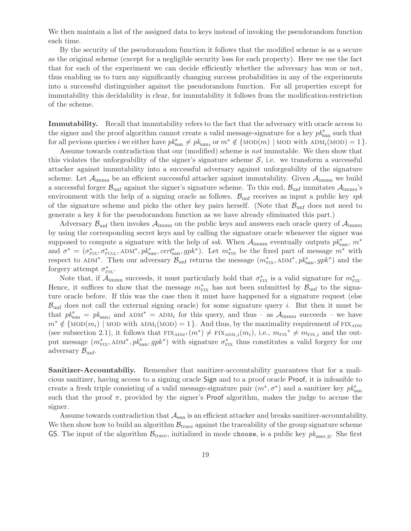We then maintain a list of the assigned data to keys instead of invoking the pseudorandom function each time.

By the security of the pseudorandom function it follows that the modified scheme is as a secure as the original scheme (except for a negligible security loss for each property). Here we use the fact that for each of the experiment we can decide efficiently whether the adversary has won or not, thus enabling us to turn any significantly changing success probabilities in any of the experiments into a successful distinguisher against the pseudorandom function. For all properties except for immutability this decidability is clear, for immutability it follows from the modification-restriction of the scheme.

**Immutability.** Recall that immutability refers to the fact that the adversary with oracle access to the signer and the proof algorithm cannot create a valid message-signature for a key  $pk_{\text{san}}^*$  such that  $\text{for all various curves } i$  we oither have  $nk^* \to nk \text{ or } m^* \notin \text{MOD}(m) \downarrow \text{MOD with } \text{AMM}(MOD) = 1$ for all pevious queries *i* we either have  $pk_{\text{san}}^* \neq pk_{\text{san}_i}$  or  $m^* \notin \{\text{MOD}(m) \mid \text{MOD with ADM}_i(\text{MOD})=1\}$ .<br>Assume towards contradiction that our (modified) scheme is not imputable. We then show that

Assume towards contradiction that our (modified) scheme is *not* immutable. We then show that this violates the unforgeability of the signer's signature scheme  $S$ , i.e. we transform a successful attacker against immutability into a successful adversary against unforgeability of the signature scheme. Let  $A_{\text{immu}}$  be an efficient successful attacker against immutability. Given  $A_{\text{immu}}$  we build a successful forger  $B_{unf}$  against the signer's signature scheme. To this end,  $B_{unf}$  immitates  $A_{immu}$ 's environment with the help of a signing oracle as follows.  $B_{\text{unf}}$  receives as input a public key *spk* of the signature scheme and picks the other key pairs herself. (Note that  $\mathcal{B}_{unf}$  does not need to generate a key *k* for the pseudorandom function as we have already eliminated this part.)

Adversary  $B_{\text{unf}}$  then invokes  $A_{\text{immu}}$  on the public keys and answers each oracle query of  $A_{\text{immu}}$ by using the corresponding secret keys and by calling the signature oracle whenever the signer was supposed to compute a signature with the help of *ssk*. When  $\mathcal{A}_{\text{immu}}$  eventually outputs  $pk_{\text{san}}^*$ ,  $m^*$ <br>and  $\sigma^* = (\sigma^* - \sigma^* - \Delta D M^* \cdot pk^* - aort^* - amb^*)$ . Let  $m^*$  be the fixed part of message  $m^*$  with and  $\sigma^* = (\sigma_{\text{FIX}}^*, \sigma_{\text{FULL}}^*, \text{ADM}^*, pk_{\text{san}}^*, cert_{\text{san}}^*, gpk^*)$ . Let  $m_{\text{FIX}}^*$  be the fixed part of message  $m^*$  with respect to ADM<sup>\*</sup>. Then our adversary  $\mathcal{B}_{\text{exturns}}$  the message  $(m^* - \text{ADM}^*, pk^*)$  and the respect to ADM<sup>∗</sup>. Then our adversary  $\mathcal{B}_{\text{unf}}$  returns the message  $(m_{\text{FK}}^*, \text{ADM}^*, pk_{\text{san}}^*, gpk^*)$  and the forgory attempt  $\sigma^*$ forgery attempt  $\sigma_{\text{FIX}}^*$ .

Note that, if  $\mathcal{A}_{\text{immu}}$  succeeds, it must particularly hold that  $\sigma_{\text{fix}}^*$  is a valid signature for  $m_{\text{fix}}^*$ . Hence, it suffices to show that the message  $m_{\text{fix}}^*$  has not been submitted by  $\mathcal{B}_{\text{unf}}$  to the signa-<br>ture exacle before. If this was the sage than it must have happened for a signature request (else ture oracle before. If this was the case then it must have happened for a signature request (else  $B_{\text{unf}}$  does not call the external signing oracle) for some signature query i. But then it must be that  $pk_{\text{san}}^* = pk_{\text{san}}$  and  $ADM^* = ADM_i$  for this query, and thus – as  $\mathcal{A}_{\text{immu}}$  succeeds – we have  $m^* \notin {\text{MOD}(m_i) \mid \text{MOD with ADM}_i(\text{MOD})=1}.$  And thus, by the maximality requirement of FIX<sub>ADM</sub> (see subsection 2.1), it follows that  $\text{FIX}_{\text{ADM}*}$  ( $m^*$ )  $\neq \text{FIX}_{\text{ADM},i}(m_i)$ , i.e.,  $m_{\text{FIX}} * \neq m_{\text{FIX},i}$  and the output message  $(m^*_{\text{FIX}}, \text{ADM}^*, pk^*_{\text{san}}, gpk^*)$  with signature  $\sigma^*_{\text{FIX}}$  thus constitutes a valid forgery for our adversary  $\mathcal{B}_{unf}$ .

**Sanitizer-Accountabiliy.** Remember that sanitizer-accountability guarantees that for a malicious sanitizer, having access to a signing oracle Sign and to a proof oracle Proof, it is infeasible to create a fresh triple consisting of a valid message-signature pair  $(m^*, \sigma^*)$  and a sanitizer key  $pk^*_{\text{san}}$ such that the proof  $\pi$ , provided by the signer's Proof algorithm, makes the judge to accuse the signer.

Assume towards contradiction that  $A_{\text{san}}$  is an efficient attacker and breaks sanitizer-accountability. We then show how to build an algorithm  $\mathcal{B}_{\text{trace}}$  against the traceability of the group signature scheme GS. The input of the algorithm  $\mathcal{B}_{\text{trace}}$ , initialized in mode choose, is a public key  $pk_{\text{user},0}$ . She first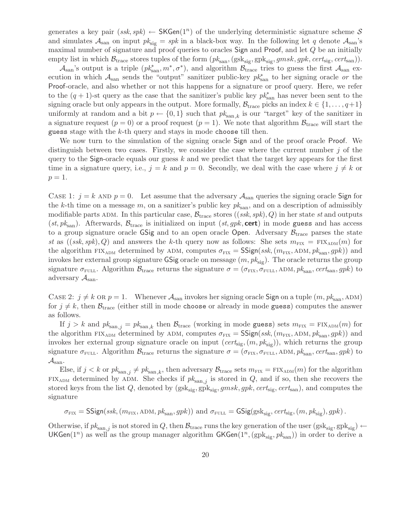generates a key pair  $(ssk, spk) \leftarrow \text{SKGen}(1^n)$  of the underlying deterministic signature scheme S and simulates  $A_{\text{san}}$  on input  $pk_{\text{sig}} = spk$  in a black-box way. In the following let q denote  $A_{\text{san}}$ 's maximal number of signature and proof queries to oracles  $\mathsf{Sign}$  and Proof, and let  $Q$  be an initially empty list in which  $\mathcal{B}_{\text{trace}}$  stores tuples of the form  $(pk_{\text{san}},(\text{gsk}_{\text{sig}},\text{gpk}_{\text{sig}},gmsk,gpk,cert_{\text{sig}},cert_{\text{san}})).$ 

 $\mathcal{A}_{\text{san}}$ 's output is a triple  $(pk_{\text{san}}^*, m^*, \sigma^*)$ , and algorithm  $\mathcal{B}_{\text{trace}}$  tries to guess the first  $\mathcal{A}_{\text{san}}$  ex-<br>tion in which  $\mathcal{A}_{\text{c}}$  conds the "output" conition public low  $x_k^*$  to be given grade or ecution in which  $\mathcal{A}_{\text{san}}$  sends the "output" sanitizer public-key  $pk_{\text{san}}^*$  to her signing oracle *or* the Proof-oracle, and also whether or not this happens for a signature or proof query. Here, we refer to the  $(q + 1)$ -st query as the case that the sanitizer's public key  $pk_{\text{san}}^*$  has never been sent to the signing oracle but only appears in the output. More formally  $\mathcal{B}$  picks an index  $k \in \{1, \ldots, d+1\}$ signing oracle but only appears in the output. More formally,  $\mathcal{B}_{\text{trace}}$  picks an index  $k \in \{1, \ldots, q+1\}$ uniformly at random and a bit  $p \leftarrow \{0, 1\}$  such that  $pk_{\text{san}, k}$  is our "target" key of the sanitizer in a signature request  $(p = 0)$  or a proof request  $(p = 1)$ . We note that algorithm  $\mathcal{B}_{\text{trace}}$  will start the guess stage with the k-th query and stays in mode choose till then.

We now turn to the simulation of the signing oracle Sign and of the proof oracle Proof. We distinguish between two cases. Firstly, we consider the case where the current number  $j$  of the query to the Sign-oracle equals our guess k and we predict that the target key appears for the first time in a signature query, i.e.,  $j = k$  and  $p = 0$ . Secondly, we deal with the case where  $j \neq k$  or  $p=1.$ 

CASE 1:  $j = k$  AND  $p = 0$ . Let assume that the adversary  $\mathcal{A}_{\text{san}}$  queries the signing oracle Sign for the k-th time on a message m, on a sanitizer's public key  $pk_{\text{san}}$ , and on a description of admissibly<br>modifiable parts ADM. In this particular case,  $R_{\text{c}}$  at cross ((sek, sek) O) in her state stand outputs modifiable parts ADM. In this particular case,  $\mathcal{B}_{\text{trace}}$  stores  $((ssk, spk), Q)$  in her state *st* and outputs  $(st, pk_{\text{san}})$ . Afterwards,  $B_{\text{trace}}$  is initialized on input  $(st, gpk, \text{cert})$  in mode guess and has access to a group signature oracle GSig and to an open oracle Open. Adversary  $B_{\text{trace}}$  parses the state *st* as  $((ssk, spk), Q)$  and answers the k-th query now as follows: She sets  $m_{\text{FIX}} = \text{FIX}_{\text{ADM}}(m)$  for the algorithm  $FIX_{ADM}$  determined by ADM, computes  $\sigma_{FX} = SSign(ssk,(m_{FIX}, ADM, pk_{san}, gpk))$  and invokes her external group signature **GSig** oracle on message  $(m, pk_{sig})$ . The oracle returns the group<br>signature  $\sigma = \frac{(\sigma - \sigma_{\text{max}} + \text{DM}) \cdot \text{MeV}}{2m}$ signature  $\sigma_{\text{FULL}}$ . Algorithm  $\mathcal{B}_{\text{trace}}$  returns the signature  $\sigma = (\sigma_{\text{FIX}}, \sigma_{\text{FULL}})$ , ADM,  $pk_{\text{san}}$ ,  $cert_{\text{san}}$ ,  $gpk$  to adversary  $A_{\text{san}}$ .

CASE 2:  $j \neq k$  OR  $p = 1$ . Whenever  $\mathcal{A}_{\text{san}}$  invokes her signing oracle Sign on a tuple  $(m, pk_{\text{san}}, ADM)$ for  $j \neq k$ , then  $\mathcal{B}_{\text{trace}}$  (either still in mode choose or already in mode guess) computes the answer as follows.

If  $j > k$  and  $pk_{\text{san},j} = pk_{\text{san},k}$  then  $\mathcal{B}_{\text{trace}}$  (working in mode guess) sets  $m_{\text{Fix}} = \text{FIX}_{\text{ADM}}(m)$  for algorithm  $\text{Fix}_{\text{ext}}$  determined by ADM, computes  $\sigma = \text{SSim}(sk(m) \land \text{DM} \cdot pk - aph)$  and the algorithm FIX<sub>ADM</sub> determined by ADM, computes  $\sigma_{\text{FIX}} = \text{SSign}(ssk,(m_{\text{FIX}}, \text{ADM}, pk_{\text{san}}, gpk))$  and<br>invokes her external group signature excels on input (*cert, (m, nk,)*) which returns the group invokes her external group signature oracle on input  $(cert_{sig},(m,pk_{sig}))$ , which returns the group signature  $\sigma_{\text{FULL}}$ . Algorithm  $\mathcal{B}_{\text{trace}}$  returns the signature  $\sigma = (\sigma_{\text{FIX}}, \sigma_{\text{FULL}})$ , ADM,  $pk_{\text{san}}$ , cert<sub>san</sub>, gpk) to  $\mathcal{A}_{\rm san}$ .

Else, if  $j < k$  or  $pk_{\text{san},j} \neq pk_{\text{san},k}$ , then adversary  $B_{\text{trace}}$  sets  $m_{\text{FIX}} = \text{FIX}_{\text{ADM}}(m)$  for the algorithm FIX<sub>ADM</sub> determined by ADM. She checks if  $pk_{\text{san},j}$  is stored in Q, and if so, then she recovers the stored keys from the list  $Q$ , denoted by  $(gsk_{sig}, gpk_{sig}, gmsk, gpk, cert_{sig}, cert_{san})$ , and computes the signature signature

$$
\sigma_{\text{FIX}} = \text{SSign}(ssk, (m_{\text{FIX}}, \text{ADM}, pk_{\text{san}}, gpk)) \text{ and } \sigma_{\text{FULL}} = \text{GSig}(\text{gsk}_{\text{sig}}, cert_{\text{sig}}, (m, pk_{\text{sig}}), gpk).
$$

Otherwise, if  $pk_{\text{san},j}$  is not stored in Q, then  $B_{\text{trace}}$  runs the key generation of the user  $(gsk_{\text{sig}}, gpk_{\text{sig}}) \leftarrow$ <br>UKGen(1<sup>n</sup>) as well as the group manager algorithm  $GKGen(1^n,(cnk,nk))$  in order to derive a  $UKGen(1^n)$  as well as the group manager algorithm  $GKGen(1^n,(gpk_{\text{sig}}, pk_{\text{san}}))$  in order to derive a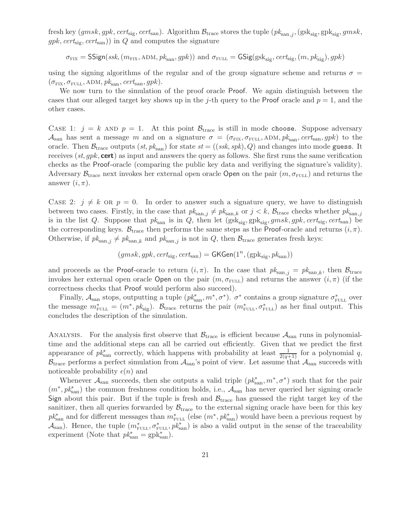fresh key (gmsk, gpk, cert<sub>sig</sub>, cert<sub>san</sub>). Algorithm  $\mathcal{B}_{\text{trace}}$  stores the tuple ( $pk_{\text{san},j}$ , (gsk<sub>sig</sub>, gpk<sub>sig</sub>, gmsk, gpk, *cert*sig, *cert*san)) in <sup>Q</sup> and computes the signature

$$
\sigma_{\text{FIX}} = \text{SSign}(ssk, (m_{\text{FIX}}, \text{ADM}, pk_{\text{san}}, gpk)) \text{ and } \sigma_{\text{FULL}} = \text{GSig}(\text{gsk}_{\text{sig}}, cert_{\text{sig}}, (m, pk_{\text{sig}}), gpk)
$$

using the signing algorithms of the regular and of the group signature scheme and returns  $\sigma =$  $(\sigma_{\text{FIX}}, \sigma_{\text{FULL}})$ , ADM,  $pk_{\text{san}}$ ,  $cert_{\text{san}}$ ,  $gpk$ .<br>We now turn to the simulation

We now turn to the simulation of the proof oracle Proof. We again distinguish between the cases that our alleged target key shows up in the j-th query to the Proof oracle and  $p = 1$ , and the other cases.

CASE 1:  $j = k$  AND  $p = 1$ . At this point  $\mathcal{B}_{\text{trace}}$  is still in mode choose. Suppose adversary  $\mathcal{A}_{\text{san}}$  has sent a message m and on a signature  $\sigma = (\sigma_{\text{Fix}}, \sigma_{\text{FULL}}, \text{ADM}, \text{pk}_{\text{san}}, \text{cert}_{\text{san}}, \text{gpk})$  to the oracle. Then  $\mathcal{B}_{\text{trace}}$  outputs  $(st, pk_{\text{san}})$  for state  $st = ((ssk, spk), Q)$  and changes into mode guess. It receives (*st*, gpk, **cert**) as input and answers the query as follows. She first runs the same verification checks as the Proof-oracle (comparing the public key data and verifiying the signature's validity). Adversary  $\mathcal{B}_{\text{trace}}$  next invokes her external open oracle Open on the pair  $(m, \sigma_{\text{FULL}})$  and returns the answer  $(i, \pi)$ .

CASE 2:  $j \neq k$  OR  $p = 0$ . In order to answer such a signature query, we have to distinguish between two cases. Firstly, in the case that  $pk_{\text{san},j} \neq pk_{\text{san},k}$  or  $j < k$ ,  $\mathcal{B}_{\text{trace}}$  checks whether  $pk_{\text{san},j}$ <br>is in the list  $O$ . Suppose that  $pk_{\text{c}}$  is in  $O$  then let  $(\text{csk}_{\text{c}} - \text{cpk}_{\text{c}} - \text{cmk}_{\text{c}} - \text$ is in the list Q. Suppose that  $pk_{\text{san}}$  is in Q, then let  $(gsk_{\text{sig}}, gpk_{\text{sig}}, gmk, gpk, cert_{\text{sig}}, cert_{\text{san}})$  be<br>the corresponding lows  $R$  then performs the same stops as the **Proof** grade and returns  $(i, \pi)$ the corresponding keys.  $\mathcal{B}_{\text{trace}}$  then performs the same steps as the Proof-oracle and returns  $(i, \pi)$ . Otherwise, if  $pk_{\text{san},j} \neq pk_{\text{san},k}$  and  $pk_{\text{san},j}$  is not in  $Q$ , then  $B_{\text{trace}}$  generates fresh keys:

$$
(gmsk, gpk, cert_{\text{sig}}, cert_{\text{san}}) = \text{GKGen}(1^n, (\text{gpk}_{\text{sig}}, pk_{\text{san}}))
$$

and proceeds as the Proof-oracle to return  $(i, \pi)$ . In the case that  $pk_{\text{san},j} = pk_{\text{san},k}$ , then  $B_{\text{trace}}$ <br>invokes her external open oracle Open on the pair  $(m, \pi)$  and returns the answer  $(i, \pi)$  (if the invokes her external open oracle Open on the pair  $(m, \sigma_{\text{FULL}})$  and returns the answer  $(i, \pi)$  (if the correctness checks that Proof would perform also succeed).

Finally,  $\mathcal{A}_{\text{san}}$  stops, outputting a tuple  $\left(\mathit{pk}_{\text{san}}^*, \mathit{m}^*, \sigma^*\right)$ .  $\sigma^*$  contains a group signature  $\sigma_{\text{FULL}}^*$  over<br>mossage  $\mathit{m}^* = \left(\mathit{m}^*, \mathit{m}^*\right)$ .  $\mathcal{B}_{\text{redu}}$  returns the pair  $\left(\mathit{m}^*, \sigma$ the message  $m_{\text{FULL}}^* = (m^*, \rho k_{\text{sig}})$ . B<sub>trace</sub> returns the pair  $(m_{\text{FULL}}^*, \sigma_{\text{FULL}}^*)$  as her final output. This concludes the description of the simulation.

ANALYSIS. For the analysis first observe that  $\mathcal{B}_{\text{trace}}$  is efficient because  $\mathcal{A}_{\text{san}}$  runs in polynomialtime and the additional steps can all be carried out efficiently. Given that we predict the first appearance of  $pk_{\text{san}}^*$  correctly, which happens with probability at least  $\frac{1}{2(q+1)}$  for a polynomial q,<br>B<sub>reade</sub> performs a perfect simulation from  $A_{\text{car}}$ 's point of view. Let assume that  $A_{\text{car}}$  succeeds with  $B_{\text{trace}}$  performs a perfect simulation from  $A_{\text{san}}$ 's point of view. Let assume that  $A_{\text{san}}$  succeeds with noticeable probability  $\epsilon(n)$  and

Whenever  $\mathcal{A}_{\text{san}}$  succeeds, then she outputs a valid triple  $(pk_{\text{san}}^*, m^*, \sigma^*)$  such that for the pair  $(m^*, p k_{\text{san}}^*)$  the common freshness condition holds, i.e.,  $\mathcal{A}_{\text{san}}$  has never queried her signing oracle<br>Sign about this pair. But if the tuple is fresh and  $\mathcal{B}_{\text{max}}$  has guessed the right target leve of the Sign about this pair. But if the tuple is fresh and  $\mathcal{B}_{\text{trace}}$  has guessed the right target key of the sanitizer, then all queries forwarded by  $\mathcal{B}_{\text{trace}}$  to the external signing oracle have been for this key  $pk_{\text{san}}^*$  and for different messages than  $m_{\text{FULL}}^*$  (else  $(m^*, pk_{\text{san}}^*)$ ) would have been a previous request by  $\mathcal{A}_{\text{san}}$ ). Hence, the tuple  $(m^*_{\text{FULL}}, \sigma^*_{\text{FULL}}, p k^*_{\text{san}})$  is also a valid output in the sense of the traceability experiment (Note that  $n^{k^*}$  =  $\text{cnk}^{k^*}$ ) experiment (Note that  $pk_{\text{san}}^* = \text{gpk}_{\text{san}}^*$ ).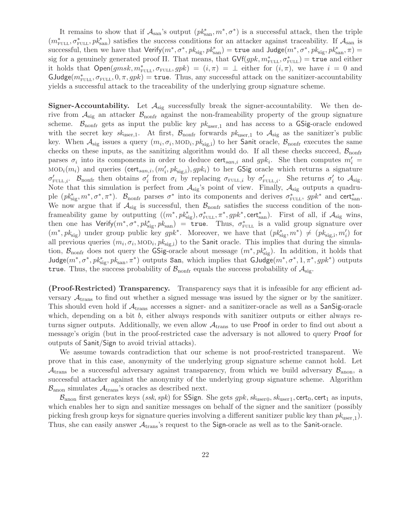It remains to show that if  $\mathcal{A}_{\text{san}}$ 's output  $(pk_{\text{san}}^*, m^*, \sigma^*)$  is a successful attack, then the triple  $\sigma^* = n k^*$ ) satisfies the success conditions for an attacker against tracehility. If  $\Lambda$  is  $(m^*_{\text{FULL}}, \sigma^*_{\text{FULL}}, p k^*_{\text{san}})$  satisfies the success conditions for an attacker against traceability. If  $\mathcal{A}_{\text{san}}$  is<br>successful than we have that  $\text{Verify}(m^* \sigma^* \, n^k - n^{k^*}) = \text{true}$  and  $\text{Fugens}(m^* \, \sigma^* \, n^k - n^{k^*}$ successful, then we have that  $Verify(m^*, \sigma^*, pk_{\text{sign}}, pk_{\text{san}}^*) = \text{true}$  and  $Judge(m^*, \sigma^*, pk_{\text{sign}}, pk_{\text{san}}^*, \pi) =$ <br>sig for a gonuinaly generated proof  $\Pi$ . That means that  $G\mathcal{U}(\omega k, m^*, \sigma^*, \pi^*) = \text{true}$  and either sig for a genuinely generated proof  $\Pi$ . That means, that  $\mathsf{GVf}(gpk, m^*_{\text{FULL}}, \sigma^*_{\text{FULL}}) = \mathtt{true}$  and either it holds that  $Open(gmsk, m^*_{\text{FULL}}, \sigma_{\text{FULL}}, gpk) = (i, \pi) = \bot$  either for  $(i, \pi)$ , we have  $i = 0$  and GJudge $(m^*_{\text{FULL}}, \sigma_{\text{FULL}}, 0, \pi, gpk) = \text{true}$ . Thus, any successful attack on the sanitizer-accountability yields a successful attack to the traceability of the underlying group signature scheme.

**Signer-Accountability.** Let  $A_{sig}$  successfully break the signer-accountability. We then derive from  $\mathcal{A}_{sig}$  an attacker  $\mathcal{B}_{nonfr}$  against the non-frameability property of the group signature scheme.  $B_{\text{nonfr}}$  gets as input the public key  $pk_{\text{user},1}$  and has access to a GSig-oracle endowed with the secret key  $sk_{user,1}$ . At first,  $\mathcal{B}_{nonfr}$  forwards  $pk_{user,1}$  to  $\mathcal{A}_{sig}$  as the sanitizer's public key. When  $\mathcal{A}_{\text{sig}}$  issues a query  $(m_i, \sigma_i, \text{MOD}_i, pk_{\text{sig},i})$  to her Sanit oracle,  $\mathcal{B}_{\text{nonfr}}$  executes the same checks on these inputs, as the sanitizing algorithm would do. If all these checks succeed,  $\mathcal{B}_{\text{nonfr}}$ parses <sup>σ</sup>i into its components in order to deduce certsan,i and gpki. She then computes <sup>m</sup>- i =  $\text{MOD}_i(m_i)$  and queries (cert<sub>san,i</sub>, $(m'_i, pk_{\text{sig},i}), gpk_i$ ) to her GSig oracle which returns a signature  $\sigma'$ ,  $\mathcal{B}_{\text{max}}$  then obtains  $\sigma'$  from  $\sigma$ , by replacing  $\sigma$ , by  $\sigma'$ . She returns  $\sigma'$  to A.  $\sigma'_{\text{FULL},i}$ .  $\mathcal{B}_{\text{nonfr}}$  then obtains  $\sigma'_{i}$  from  $\sigma_{i}$  by replacing  $\sigma_{\text{FULL},i}$  by  $\sigma'_{\text{FULL},i}$ . She returns  $\sigma'_{i}$  to  $\mathcal{A}_{\text{sig}}$ .<br>Note that this simulation is perfect from  $A_i$ . 's point of view. Fina Note that this simulation is perfect from  $\mathcal{A}_{sig}$ 's point of view. Finally,  $\mathcal{A}_{sig}$  outputs a quadruple  $(pk_{sig}^*, m^*, \sigma^*, \pi^*)$ .  $\mathcal{B}_{\text{nonfr}}$  parses  $\sigma^*$  into its components and derives  $\sigma_{\text{r}_\text{ULL}}^*$ ,  $gpk^*$  and cert<sub>san</sub>.<br>We now arrup that if  $A_{\text{L}}$  is successful, then  $\mathcal{B}_{\text{L}}$  existing the success condit We now argue that if  $\mathcal{A}_{sig}$  is successful, then  $\mathcal{B}_{nonfr}$  satisfies the success condition of the nonframeability game by outputting  $((m^*, p k_{\text{sig}}^*, \sigma_{\text{FULL}}^*, q p k^*, \text{cert}_{\text{san}}^*, \text{First of all, if } \mathcal{A}_{\text{sig wins}})$ <br>then one has  $\text{Verify}(m^*, \sigma^*, m k^*, \text{ or } \text{true}_{\text{strains}})$  =  $\text{true}_{\text{strains}}$   $\sigma^*$  is a valid group signature over then one has  $Verify(m^*, \sigma^*, pk^*_{\text{sign}}, pk_{\text{san}}) = \text{true}$ . Thus,  $\sigma^*_{\text{FULL}}$  is a valid group signature over  $(m^*, nk^-)$  under group public lear  $mk^*$ . Moreover, we have that  $(m^*, m^*) \neq (mk - m')$  for  $(m^*, p k_{\text{sig}})$  under group public key  $g p k^*$ . Moreover, we have that  $(p k_{\text{sig}}^*, m^*) \neq (p k_{\text{sig,i}}, m'_i)$  for all provious quories  $(m, \sigma, \text{ MOD}, nk_*)$  to the **Sapit** oracle. This implies that during the simula all previous queries  $(m_i, \sigma_i, \text{MOD}_i, pk_{sig,i})$  to the Sanit oracle. This implies that during the simulation,  $\mathcal{B}_{\text{nonfr}}$  does not query the GSig-oracle about message  $(m^*, \mathit{pk}_{\text{sig}}^*)$ . In addition, it holds that<br>ludge( $m^*, \pi^*, \mathit{pk}^*, \mathit{pk}^*, \mathit{pk}^*$  are  $\pi^*$ ) outputs San which implies that  $\mathcal{C}$  ludge( $m^*, \pi^*, 1$  $Judge(m^*, \sigma^*, pk_{\text{sig}}^*, pk_{\text{san}}^*, \pi^*)$  outputs San, which implies that  $GJudge(m^*, \sigma^*, 1, \pi^*, gpk^*)$  outputs  $\text{true}$ true. Thus, the success probability of  $\mathcal{B}_{\text{nonfr}}$  equals the success probability of  $\mathcal{A}_{\text{sig}}$ .

**(Proof-Restricted) Transparency.** Transparency says that it is infeasible for any efficient adversary  $A_{trans}$  to find out whether a signed message was issued by the signer or by the sanitizer. This should even hold if  $A_{trans}$  accesses a signer- and a sanitizer-oracle as well as a  $SanSig-oracle$ which, depending on a bit b, either always responds with sanitizer outputs or either always returns signer outputs. Additionally, we even allow  $A_{trans}$  to use Proof in order to find out about a message's origin (but in the proof-restricted case the adversary is not allowed to query Proof for outputs of Sanit/Sign to avoid trivial attacks).

We assume towards contradiction that our scheme is not proof-restricted transparent. We prove that in this case, anonymity of the underlying group signature scheme cannot hold. Let  $\mathcal{A}_{\text{trans}}$  be a successful adversary against transparency, from which we build adversary  $\mathcal{B}_{\text{anon}}$ , a successful attacker against the anonymity of the underlying group signature scheme. Algorithm  $\mathcal{B}_{\text{anon}}$  simulates  $\mathcal{A}_{\text{trans}}$ 's oracles as described next.

 $B_{\text{anon}}$  first generates keys (*ssk*, *spk*) for SSign. She gets  $gpk$ ,  $sk_{\text{user1}}$ ,  $sk_{\text{user1}}$ , cert<sub>1</sub> as inputs, which enables her to sign and sanitize messages on behalf of the signer and the sanitizer (possibly picking fresh group keys for signature queries involving a different sanitizer public key than  $pk_{user,1}$ ).<br>Thus, she can easily answer, A, and is request to the Sign-oracle as well as to the Sanit-oracle Thus, she can easily answer  $A<sub>trans</sub>$ 's request to the Sign-oracle as well as to the Sanit-oracle.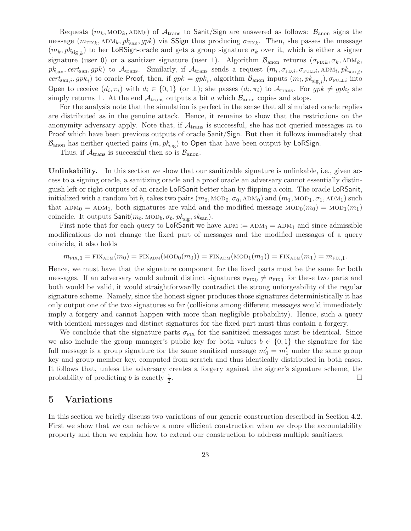Requests  $(m_k, \text{MOD}_k, \text{ADM}_k)$  of  $\mathcal{A}_{\text{trans}}$  to Sanit/Sign are answered as follows:  $\mathcal{B}_{\text{anon}}$  signs the message  $(m_{\text{FIX}k}, \Delta \text{DM}_k, pk_{\text{san}}, gpk)$  via SSign thus producing  $\sigma_{\text{FIX}k}$ . Then, she passes the message  $(m_k, pk_{\text{sig }k})$  to her LoRSign-oracle and gets a group signature  $\sigma_k$  over it, which is either a signer signature (user 0) or a sanitizer signature (user 1). Algorithm  $\mathcal{B}_{\text{anon}}$  returns  $(\sigma_{\text{FIX}}^k, \sigma_k, \text{ADM}_k,$  $pk_{\text{san}}$ , *cert*<sub>san</sub>, gpk) to  $\mathcal{A}_{\text{trans}}$ . Similarly, if  $\mathcal{A}_{\text{trans}}$  sends a request  $(m_i, \sigma_{\text{FIX}}; \sigma_{\text{FULL}}; \text{ADM}_i, pk_{\text{san},i},$ <br>*cert*  $\ldots$  gpk) to oracle **Proof** then if gpk = gpk, algorithm  $\mathcal{B}$  inputs  $(m_i, nk_{$  $cert_{\text{san},i}, gpk_i)$  to oracle Proof, then, if  $gpk = gpk_i$ , algorithm  $B_{\text{anon}}$  inputs  $(m_i, pk_{\text{sig},i}), \sigma_{\text{FULL}}$  into Open to receive  $(d_i, \pi_i)$  with  $d_i \in \{0, 1\}$  (or  $\perp$ ); she passes  $(d_i, \pi_i)$  to  $\mathcal{A}_{\text{trans}}$ . For  $gpk \neq gpk_i$  she simply returns  $\perp$ . At the end  $\mathcal{A}_{trans}$  outputs a bit a which  $\mathcal{B}_{anon}$  copies and stops.

For the analysis note that the simulation is perfect in the sense that all simulated oracle replies are distributed as in the genuine attack. Hence, it remains to show that the restrictions on the anonymity adversary apply. Note that, if  $A_{trans}$  is successful, she has not queried messages m to Proof which have been previous outputs of oracle Sanit/Sign. But then it follows immediately that  $B_{\text{anon}}$  has neither queried pairs  $(m, pk_{\text{sig}})$  to Open that have been output by LoRSign.

Thus, if  $A_{trans}$  is successful then so is  $B_{anon}$ .

**Unlinkability.** In this section we show that our sanitizable signature is unlinkable, i.e., given access to a signing oracle, a sanitizing oracle and a proof oracle an adversary cannot essentially distinguish left or right outputs of an oracle LoRSanit better than by flipping a coin. The oracle LoRSanit, initialized with a random bit b, takes two pairs  $(m_0, \text{MOD}_0, \sigma_0, \text{ADM}_0)$  and  $(m_1, \text{MOD}_1, \sigma_1, \text{ADM}_1)$  such that  $ADM_0 = ADM_1$ , both signatures are valid and the modified message  $MOD_0(m_0) = MOD_1(m_1)$ coincide. It outputs  $\textsf{Sanit}(m_b, \text{MOD}_b, \sigma_b, \textit{pk}_{\text{sig}}, \textit{sk}_{\text{san}}).$ 

First note that for each query to LoRSanit we have  $ADM = ADM_0 = ADM_1$  and since admissible modifications do not change the fixed part of messages and the modified messages of a query coincide, it also holds

$$
m_{\text{Fix},0} = \text{fix}_{\text{ADM}}(m_0) = \text{fix}_{\text{ADM}}(\text{Mod}(m_0)) = \text{fix}_{\text{ADM}}(\text{Mod}_1(m_1)) = \text{fix}_{\text{ADM}}(m_1) = m_{\text{Fix},1}.
$$

Hence, we must have that the signature component for the fixed parts must be the same for both messages. If an adversary would submit distinct signatures  $\sigma_{\text{FIX}} \neq \sigma_{\text{FIX}}$  for these two parts and both would be valid, it would straightforwardly contradict the strong unforgeability of the regular signature scheme. Namely, since the honest signer produces those signatures deterministically it has only output one of the two signatures so far (collisions among different messages would immediately imply a forgery and cannot happen with more than negligible probability). Hence, such a query with identical messages and distinct signatures for the fixed part must thus contain a forgery.

We conclude that the signature parts  $\sigma_{\text{FX}}$  for the sanitized messages must be identical. Since we also include the group manager's public key for both values  $b \in \{0,1\}$  the signature for the full message is a group signature for the same sanitized message  $m'_0 = m'_1$  under the same group<br>level and group momber level computed from scratch and thus identically distributed in both cases key and group member key, computed from scratch and thus identically distributed in both cases. It follows that, unless the adversary creates a forgery against the signer's signature scheme, the probability of predicting b is exactly  $\frac{1}{2}$ .  $\frac{1}{2}$ .

### **5 Variations**

In this section we briefly discuss two variations of our generic construction described in Section 4.2. First we show that we can achieve a more efficient construction when we drop the accountability property and then we explain how to extend our construction to address multiple sanitizers.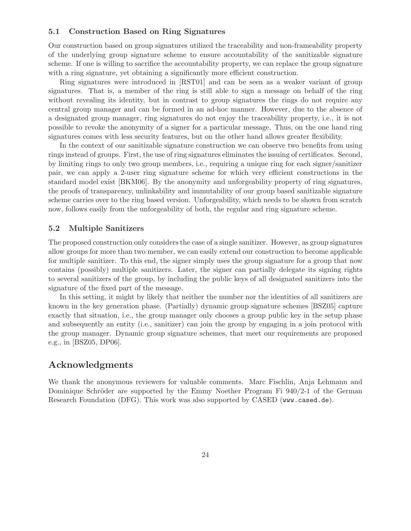#### **5.1 Construction Based on Ring Signatures**

Our construction based on group signatures utilized the traceability and non-frameability property of the underlying group signature scheme to ensure accountability of the sanitizable signature scheme. If one is willing to sacrifice the accountability property, we can replace the group signature with a ring signature, yet obtaining a significantly more efficient construction.

Ring signatures were introduced in [RST01] and can be seen as a weaker variant of group signatures. That is, a member of the ring is still able to sign a message on behalf of the ring without revealing its identity, but in contrast to group signatures the rings do not require any central group manager and can be formed in an ad-hoc manner. However, due to the absence of a designated group manager, ring signatures do not enjoy the traceability property, i.e., it is not possible to revoke the anonymity of a signer for a particular message. Thus, on the one hand ring signatures comes with less security features, but on the other hand allows greater flexibility.

In the context of our sanitizable signature construction we can observe two benefits from using rings instead of groups. First, the use of ring signatures eliminates the issuing of certificates. Second, by limiting rings to only two group members, i.e., requiring a unique ring for each signer/sanitizer pair, we can apply a 2-user ring signature scheme for which very efficient constructions in the standard model exist [BKM06]. By the anonymity and unforgeability property of ring signatures, the proofs of transparency, unlinkability and immutability of our group based sanitizable signature scheme carries over to the ring based version. Unforgeability, which needs to be shown from scratch now, follows easily from the unforgeability of both, the regular and ring signature scheme.

#### **5.2 Multiple Sanitizers**

The proposed construction only considers the case of a single sanitizer. However, as group signatures allow groups for more than two member, we can easily extend our construction to become applicable for multiple sanitizer. To this end, the signer simply uses the group signature for a group that now contains (possibly) multiple sanitizers. Later, the signer can partially delegate its signing rights to several sanitizers of the group, by including the public keys of all designated sanitizers into the signature of the fixed part of the message.

In this setting, it might by likely that neither the number nor the identities of all sanitizers are known in the key generation phase. (Partially) dynamic group signature schemes [BSZ05] capture exactly that situation, i.e., the group manager only chooses a group public key in the setup phase and subsequently an entity (i.e., sanitizer) can join the group by engaging in a join protocol with the group manager. Dynamic group signature schemes, that meet our requirements are proposed e.g., in [BSZ05, DP06].

### **Acknowledgments**

We thank the anonymous reviewers for valuable comments. Marc Fischlin, Anja Lehmann and Dominique Schröder are supported by the Emmy Noether Program Fi 940/2-1 of the German Research Foundation (DFG). This work was also supported by CASED (www.cased.de).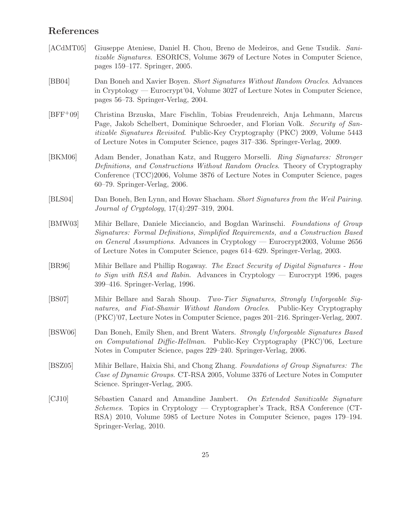# **References**

- [ACdMT05] Giuseppe Ateniese, Daniel H. Chou, Breno de Medeiros, and Gene Tsudik. *Sanitizable Signatures*. ESORICS, Volume 3679 of Lecture Notes in Computer Science, pages 159–177. Springer, 2005.
- [BB04] Dan Boneh and Xavier Boyen. *Short Signatures Without Random Oracles*. Advances in Cryptology — Eurocrypt'04, Volume 3027 of Lecture Notes in Computer Science, pages 56–73. Springer-Verlag, 2004.
- [BFF+09] Christina Brzuska, Marc Fischlin, Tobias Freudenreich, Anja Lehmann, Marcus Page, Jakob Schelbert, Dominique Schroeder, and Florian Volk. *Security of Sanitizable Signatures Revisited*. Public-Key Cryptography (PKC) 2009, Volume 5443 of Lecture Notes in Computer Science, pages 317–336. Springer-Verlag, 2009.
- [BKM06] Adam Bender, Jonathan Katz, and Ruggero Morselli. *Ring Signatures: Stronger Definitions, and Constructions Without Random Oracles*. Theory of Cryptography Conference (TCC)2006, Volume 3876 of Lecture Notes in Computer Science, pages 60–79. Springer-Verlag, 2006.
- [BLS04] Dan Boneh, Ben Lynn, and Hovav Shacham. *Short Signatures from the Weil Pairing*. *Journal of Cryptology*, 17(4):297–319, 2004.
- [BMW03] Mihir Bellare, Daniele Micciancio, and Bogdan Warinschi. *Foundations of Group Signatures: Formal Definitions, Simplified Requirements, and a Construction Based on General Assumptions*. Advances in Cryptology — Eurocrypt2003, Volume 2656 of Lecture Notes in Computer Science, pages 614–629. Springer-Verlag, 2003.
- [BR96] Mihir Bellare and Phillip Rogaway. *The Exact Security of Digital Signatures How to Sign with RSA and Rabin*. Advances in Cryptology — Eurocrypt 1996, pages 399–416. Springer-Verlag, 1996.
- [BS07] Mihir Bellare and Sarah Shoup. *Two-Tier Signatures, Strongly Unforgeable Signatures, and Fiat-Shamir Without Random Oracles*. Public-Key Cryptography (PKC)'07, Lecture Notes in Computer Science, pages 201–216. Springer-Verlag, 2007.
- [BSW06] Dan Boneh, Emily Shen, and Brent Waters. *Strongly Unforgeable Signatures Based on Computational Diffie-Hellman*. Public-Key Cryptography (PKC)'06, Lecture Notes in Computer Science, pages 229–240. Springer-Verlag, 2006.
- [BSZ05] Mihir Bellare, Haixia Shi, and Chong Zhang. *Foundations of Group Signatures: The Case of Dynamic Groups*. CT-RSA 2005, Volume 3376 of Lecture Notes in Computer Science. Springer-Verlag, 2005.
- [CJ10] S´ebastien Canard and Amandine Jambert. *On Extended Sanitizable Signature Schemes*. Topics in Cryptology — Cryptographer's Track, RSA Conference (CT-RSA) 2010, Volume 5985 of Lecture Notes in Computer Science, pages 179–194. Springer-Verlag, 2010.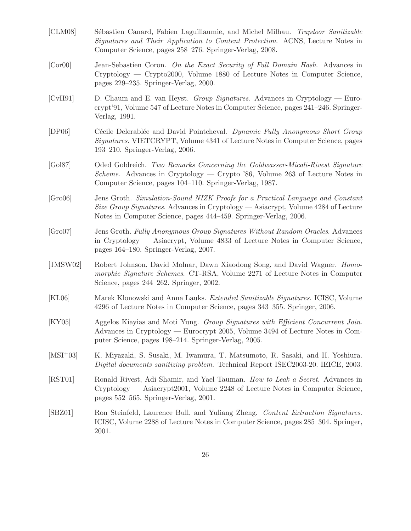| [CLM08]              | Sébastien Canard, Fabien Laguillaumie, and Michel Milhau. Trapdoor Sanitizable<br>Signatures and Their Application to Content Protection. ACNS, Lecture Notes in<br>Computer Science, pages 258-276. Springer-Verlag, 2008.                    |
|----------------------|------------------------------------------------------------------------------------------------------------------------------------------------------------------------------------------------------------------------------------------------|
| [Cor00]              | Jean-Sebastien Coron. On the Exact Security of Full Domain Hash. Advances in<br>Cryptology — Crypto2000, Volume 1880 of Lecture Notes in Computer Science,<br>pages 229–235. Springer-Verlag, 2000.                                            |
| [CVH91]              | D. Chaum and E. van Heyst. Group Signatures. Advances in Cryptology — Euro-<br>crypt'91, Volume 547 of Lecture Notes in Computer Science, pages 241–246. Springer-<br>Verlag, 1991.                                                            |
| [DP06]               | Cécile Delerablée and David Pointcheval. Dynamic Fully Anonymous Short Group<br><i>Signatures.</i> VIETCRYPT, Volume 4341 of Lecture Notes in Computer Science, pages<br>193–210. Springer-Verlag, 2006.                                       |
| [Gol87]              | Oded Goldreich. Two Remarks Concerning the Goldwasser-Micali-Rivest Signature<br><i>Scheme.</i> Advances in Cryptology — Crypto '86, Volume 263 of Lecture Notes in<br>Computer Science, pages 104–110. Springer-Verlag, 1987.                 |
| [Gro06]              | Jens Groth. Simulation-Sound NIZK Proofs for a Practical Language and Constant<br><i>Size Group Signatures.</i> Advances in Cryptology — Asiacrypt, Volume 4284 of Lecture<br>Notes in Computer Science, pages 444–459. Springer-Verlag, 2006. |
| [Gro07]              | Jens Groth. Fully Anonymous Group Signatures Without Random Oracles. Advances<br>in Cryptology — Asiacrypt, Volume 4833 of Lecture Notes in Computer Science,<br>pages 164–180. Springer-Verlag, 2007.                                         |
| [JMSW02]             | Robert Johnson, David Molnar, Dawn Xiaodong Song, and David Wagner. Homo-<br><i>morphic Signature Schemes.</i> CT-RSA, Volume 2271 of Lecture Notes in Computer<br>Science, pages 244–262. Springer, 2002.                                     |
| $\vert$ KL06 $\vert$ | Marek Klonowski and Anna Lauks. Extended Sanitizable Signatures. ICISC, Volume<br>4296 of Lecture Notes in Computer Science, pages 343–355. Springer, 2006.                                                                                    |
| [KY05]               | Aggelos Kiayias and Moti Yung. Group Signatures with Efficient Concurrent Join.<br>Advances in Cryptology — Eurocrypt 2005, Volume 3494 of Lecture Notes in Com-<br>puter Science, pages 198–214. Springer-Verlag, 2005.                       |
| $[MSI+03]$           | K. Miyazaki, S. Susaki, M. Iwamura, T. Matsumoto, R. Sasaki, and H. Yoshiura.<br>Digital documents sanitizing problem. Technical Report ISEC2003-20. IEICE, 2003.                                                                              |
| [RST01]              | Ronald Rivest, Adi Shamir, and Yael Tauman. How to Leak a Secret. Advances in<br>Cryptology — Asiacrypt2001, Volume 2248 of Lecture Notes in Computer Science,<br>pages 552-565. Springer-Verlag, 2001.                                        |
| [SBZ01]              | Ron Steinfeld, Laurence Bull, and Yuliang Zheng. Content Extraction Signatures.<br>ICISC, Volume 2288 of Lecture Notes in Computer Science, pages 285–304. Springer,<br>2001.                                                                  |